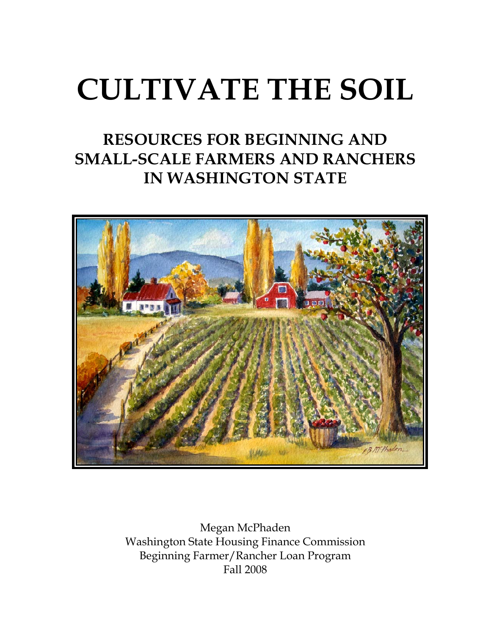# **CULTIVATE THE SOIL**

## **RESOURCES FOR BEGINNING AND SMALL-SCALE FARMERS AND RANCHERS IN WASHINGTON STATE**



Megan McPhaden Washington State Housing Finance Commission Beginning Farmer/Rancher Loan Program Fall 2008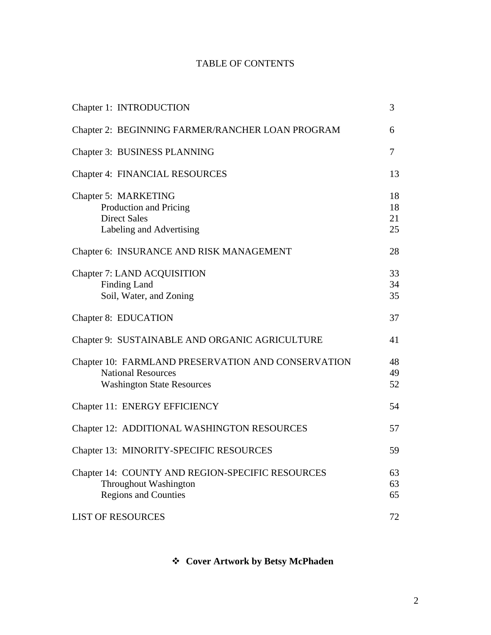### TABLE OF CONTENTS

| Chapter 1: INTRODUCTION                                                                                              | 3                    |
|----------------------------------------------------------------------------------------------------------------------|----------------------|
| Chapter 2: BEGINNING FARMER/RANCHER LOAN PROGRAM                                                                     | 6                    |
| Chapter 3: BUSINESS PLANNING                                                                                         | $\overline{7}$       |
| <b>Chapter 4: FINANCIAL RESOURCES</b>                                                                                | 13                   |
| Chapter 5: MARKETING<br>Production and Pricing<br><b>Direct Sales</b><br>Labeling and Advertising                    | 18<br>18<br>21<br>25 |
| Chapter 6: INSURANCE AND RISK MANAGEMENT                                                                             | 28                   |
| Chapter 7: LAND ACQUISITION<br><b>Finding Land</b><br>Soil, Water, and Zoning                                        | 33<br>34<br>35       |
| Chapter 8: EDUCATION                                                                                                 | 37                   |
| Chapter 9: SUSTAINABLE AND ORGANIC AGRICULTURE                                                                       | 41                   |
| Chapter 10: FARMLAND PRESERVATION AND CONSERVATION<br><b>National Resources</b><br><b>Washington State Resources</b> | 48<br>49<br>52       |
| Chapter 11: ENERGY EFFICIENCY                                                                                        | 54                   |
| Chapter 12: ADDITIONAL WASHINGTON RESOURCES                                                                          | 57                   |
| Chapter 13: MINORITY-SPECIFIC RESOURCES                                                                              | 59                   |
| Chapter 14: COUNTY AND REGION-SPECIFIC RESOURCES<br>Throughout Washington<br><b>Regions and Counties</b>             | 63<br>63<br>65       |
| <b>LIST OF RESOURCES</b>                                                                                             | 72                   |

**Cover Artwork by Betsy McPhaden**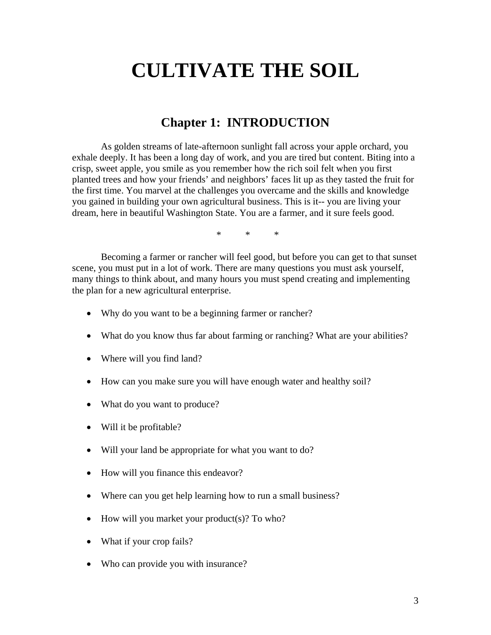## **CULTIVATE THE SOIL**

### **Chapter 1: INTRODUCTION**

As golden streams of late-afternoon sunlight fall across your apple orchard, you exhale deeply. It has been a long day of work, and you are tired but content. Biting into a crisp, sweet apple, you smile as you remember how the rich soil felt when you first planted trees and how your friends' and neighbors' faces lit up as they tasted the fruit for the first time. You marvel at the challenges you overcame and the skills and knowledge you gained in building your own agricultural business. This is it-- you are living your dream, here in beautiful Washington State. You are a farmer, and it sure feels good.

 $\begin{array}{ccc} \ast & \ast & \ast \end{array}$ 

Becoming a farmer or rancher will feel good, but before you can get to that sunset scene, you must put in a lot of work. There are many questions you must ask yourself, many things to think about, and many hours you must spend creating and implementing the plan for a new agricultural enterprise.

- Why do you want to be a beginning farmer or rancher?
- What do you know thus far about farming or ranching? What are your abilities?
- Where will you find land?
- How can you make sure you will have enough water and healthy soil?
- What do you want to produce?
- Will it be profitable?
- Will your land be appropriate for what you want to do?
- How will you finance this endeavor?
- Where can you get help learning how to run a small business?
- How will you market your product(s)? To who?
- What if your crop fails?
- Who can provide you with insurance?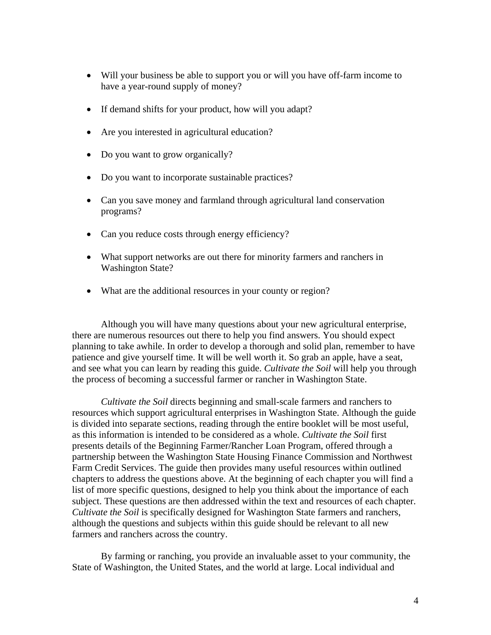- Will your business be able to support you or will you have off-farm income to have a year-round supply of money?
- If demand shifts for your product, how will you adapt?
- Are you interested in agricultural education?
- Do you want to grow organically?
- Do you want to incorporate sustainable practices?
- Can you save money and farmland through agricultural land conservation programs?
- Can you reduce costs through energy efficiency?
- What support networks are out there for minority farmers and ranchers in Washington State?
- What are the additional resources in your county or region?

Although you will have many questions about your new agricultural enterprise, there are numerous resources out there to help you find answers. You should expect planning to take awhile. In order to develop a thorough and solid plan, remember to have patience and give yourself time. It will be well worth it. So grab an apple, have a seat, and see what you can learn by reading this guide. *Cultivate the Soil* will help you through the process of becoming a successful farmer or rancher in Washington State.

*Cultivate the Soil* directs beginning and small-scale farmers and ranchers to resources which support agricultural enterprises in Washington State. Although the guide is divided into separate sections, reading through the entire booklet will be most useful, as this information is intended to be considered as a whole. *Cultivate the Soil* first presents details of the Beginning Farmer/Rancher Loan Program, offered through a partnership between the Washington State Housing Finance Commission and Northwest Farm Credit Services. The guide then provides many useful resources within outlined chapters to address the questions above. At the beginning of each chapter you will find a list of more specific questions, designed to help you think about the importance of each subject. These questions are then addressed within the text and resources of each chapter. *Cultivate the Soil* is specifically designed for Washington State farmers and ranchers, although the questions and subjects within this guide should be relevant to all new farmers and ranchers across the country.

By farming or ranching, you provide an invaluable asset to your community, the State of Washington, the United States, and the world at large. Local individual and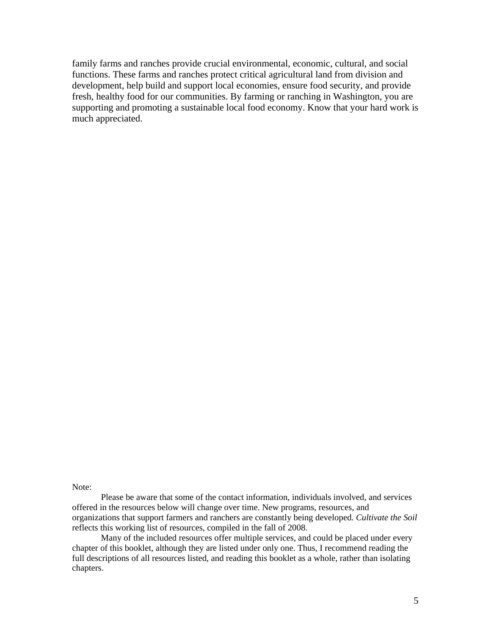family farms and ranches provide crucial environmental, economic, cultural, and social functions. These farms and ranches protect critical agricultural land from division and development, help build and support local economies, ensure food security, and provide fresh, healthy food for our communities. By farming or ranching in Washington, you are supporting and promoting a sustainable local food economy. Know that your hard work is much appreciated.

Note:

Please be aware that some of the contact information, individuals involved, and services offered in the resources below will change over time. New programs, resources, and organizations that support farmers and ranchers are constantly being developed. *Cultivate the Soil* reflects this working list of resources, compiled in the fall of 2008.

 Many of the included resources offer multiple services, and could be placed under every chapter of this booklet, although they are listed under only one. Thus, I recommend reading the full descriptions of all resources listed, and reading this booklet as a whole, rather than isolating chapters.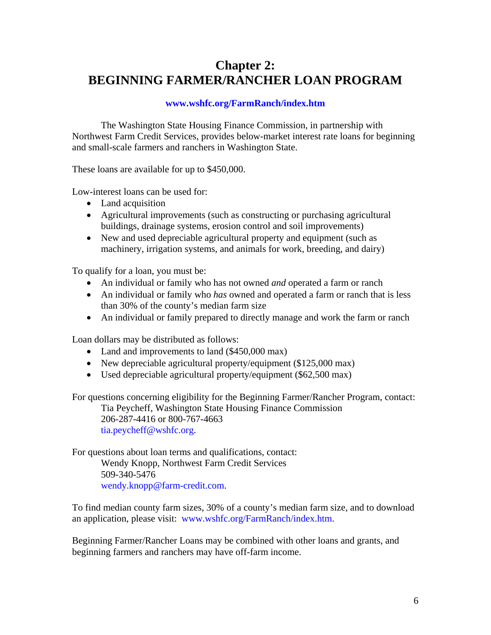## **Chapter 2: BEGINNING FARMER/RANCHER LOAN PROGRAM**

#### **[www.wshfc.org/FarmRanch/index.htm](http://www.wshfc.org/FarmRanch/index.htm)**

The Washington State Housing Finance Commission, in partnership with Northwest Farm Credit Services, provides below-market interest rate loans for beginning and small-scale farmers and ranchers in Washington State.

These loans are available for up to \$450,000.

Low-interest loans can be used for:

- Land acquisition
- Agricultural improvements (such as constructing or purchasing agricultural buildings, drainage systems, erosion control and soil improvements)
- New and used depreciable agricultural property and equipment (such as machinery, irrigation systems, and animals for work, breeding, and dairy)

To qualify for a loan, you must be:

- An individual or family who has not owned *and* operated a farm or ranch
- An individual or family who *has* owned and operated a farm or ranch that is less than 30% of the county's median farm size
- An individual or family prepared to directly manage and work the farm or ranch

Loan dollars may be distributed as follows:

- Land and improvements to land (\$450,000 max)
- New depreciable agricultural property/equipment (\$125,000 max)
- Used depreciable agricultural property/equipment (\$62,500 max)

For questions concerning eligibility for the Beginning Farmer/Rancher Program, contact:

Tia Peycheff, Washington State Housing Finance Commission 206-287-4416 or 800-767-4663

[tia.peycheff@wshfc.org.](mailto:tia.peycheff@wshfc.org)

For questions about loan terms and qualifications, contact: Wendy Knopp, Northwest Farm Credit Services 509-340-5476

[wendy.knopp@farm-credit.com.](mailto:wendy.knopp@farm-credit.com)

To find median county farm sizes, 30% of a county's median farm size, and to download an application, please visit:[www.wshfc.org/FarmRanch/index.htm](http://www.wshfc.org/FarmRanch/index.htm).

Beginning Farmer/Rancher Loans may be combined with other loans and grants, and beginning farmers and ranchers may have off-farm income.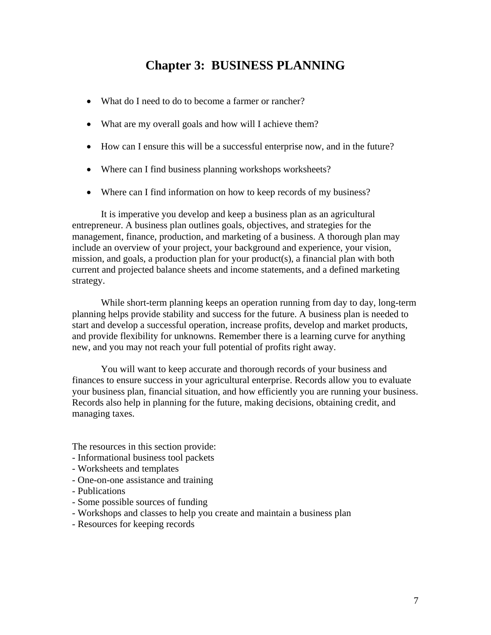## **Chapter 3: BUSINESS PLANNING**

- What do I need to do to become a farmer or rancher?
- What are my overall goals and how will I achieve them?
- How can I ensure this will be a successful enterprise now, and in the future?
- Where can I find business planning workshops worksheets?
- Where can I find information on how to keep records of my business?

It is imperative you develop and keep a business plan as an agricultural entrepreneur. A business plan outlines goals, objectives, and strategies for the management, finance, production, and marketing of a business. A thorough plan may include an overview of your project, your background and experience, your vision, mission, and goals, a production plan for your product(s), a financial plan with both current and projected balance sheets and income statements, and a defined marketing strategy.

While short-term planning keeps an operation running from day to day, long-term planning helps provide stability and success for the future. A business plan is needed to start and develop a successful operation, increase profits, develop and market products, and provide flexibility for unknowns. Remember there is a learning curve for anything new, and you may not reach your full potential of profits right away.

You will want to keep accurate and thorough records of your business and finances to ensure success in your agricultural enterprise. Records allow you to evaluate your business plan, financial situation, and how efficiently you are running your business. Records also help in planning for the future, making decisions, obtaining credit, and managing taxes.

The resources in this section provide:

- Informational business tool packets
- Worksheets and templates
- One-on-one assistance and training
- Publications
- Some possible sources of funding
- Workshops and classes to help you create and maintain a business plan
- Resources for keeping records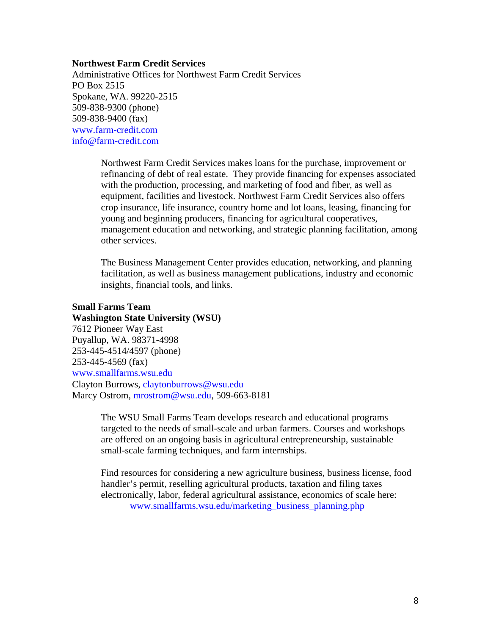#### **Northwest Farm Credit Services**

Administrative Offices for Northwest Farm Credit Services PO Box 2515 Spokane, WA. 99220-2515 509-838-9300 (phone) 509-838-9400 (fax) [www.farm-credit.com](http://www.farm-credit.com/)  [info@farm-credit.com](mailto:info@farm-credit.com) 

> Northwest Farm Credit Services makes loans for the purchase, improvement or refinancing of debt of real estate. They provide financing for expenses associated with the production, processing, and marketing of food and fiber, as well as equipment, facilities and livestock. Northwest Farm Credit Services also offers crop insurance, life insurance, country home and lot loans, leasing, financing for young and beginning producers, financing for agricultural cooperatives, management education and networking, and strategic planning facilitation, among other services.

The Business Management Center provides education, networking, and planning facilitation, as well as business management publications, industry and economic insights, financial tools, and links.

#### **Small Farms Team**

#### **Washington State University (WSU)**

7612 Pioneer Way East Puyallup, WA. 98371-4998 253-445-4514/4597 (phone) 253-445-4569 (fax) [www.smallfarms.wsu.edu](http://www.smallfarms.wsu.edu/)  Clayton Burrows, [claytonburrows@wsu.edu](mailto:claytonburrows@wsu.edu) Marcy Ostrom, [mrostrom@wsu.edu,](mailto:mrostrom@wsu.edu) 509-663-8181

> The WSU Small Farms Team develops research and educational programs targeted to the needs of small-scale and urban farmers. Courses and workshops are offered on an ongoing basis in agricultural entrepreneurship, sustainable small-scale farming techniques, and farm internships.

Find resources for considering a new agriculture business, business license, food handler's permit, reselling agricultural products, taxation and filing taxes electronically, labor, federal agricultural assistance, economics of scale here: [www.smallfarms.wsu.edu/marketing\\_business\\_planning.php](http://www.smallfarms.wsu.edu/marketing_business_planning.php)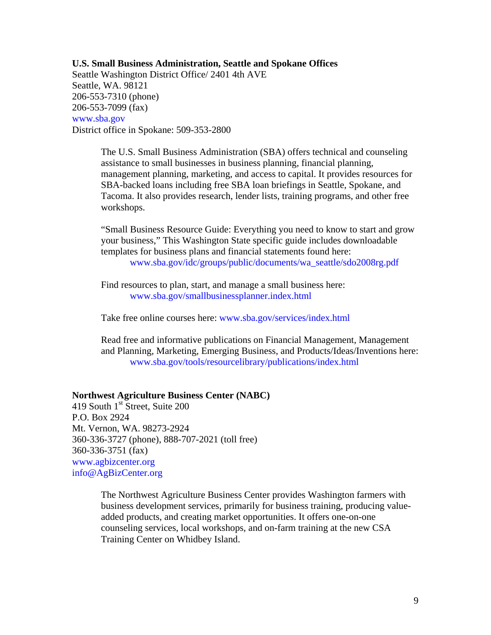**U.S. Small Business Administration, Seattle and Spokane Offices**  Seattle Washington District Office/ 2401 4th AVE Seattle, WA. 98121 206-553-7310 (phone) 206-553-7099 (fax) [www.sba.gov](http://www.sba.gov/)  District office in Spokane: 509-353-2800

> The U.S. Small Business Administration (SBA) offers technical and counseling assistance to small businesses in business planning, financial planning, management planning, marketing, and access to capital. It provides resources for SBA-backed loans including free SBA loan briefings in Seattle, Spokane, and Tacoma. It also provides research, lender lists, training programs, and other free workshops.

> "Small Business Resource Guide: Everything you need to know to start and grow your business," This Washington State specific guide includes downloadable templates for business plans and financial statements found here: [www.sba.gov/idc/groups/public/documents/wa\\_seattle/sdo2008rg.pdf](http://www.sba.gov/idc/groups/public/documents/wa_seattle/sdo2008rg.pdf)

Find resources to plan, start, and manage a small business here: [www.sba.gov/smallbusinessplanner.index.html](http://www.sba.gov/smallbusinessplanner.index.html)

Take free online courses here: [www.sba.gov/services/index.html](http://www.sba.gov/services/index.html)

Read free and informative publications on Financial Management, Management and Planning, Marketing, Emerging Business, and Products/Ideas/Inventions here: [www.sba.gov/tools/resourcelibrary/publications/index.html](http://www.sba.gov/tools/resourcelibrary/publications/index.html)

#### **Northwest Agriculture Business Center (NABC)**

419 South  $1<sup>st</sup>$  Street, Suite 200 P.O. Box 2924 Mt. Vernon, WA. 98273-2924 360-336-3727 (phone), 888-707-2021 (toll free) 360-336-3751 (fax) [www.agbizcenter.org](http://www.agbizcenter.org/)  [info@AgBizCenter.org](mailto:info@AgBizCenter.org) 

> The Northwest Agriculture Business Center provides Washington farmers with business development services, primarily for business training, producing valueadded products, and creating market opportunities. It offers one-on-one counseling services, local workshops, and on-farm training at the new CSA Training Center on Whidbey Island.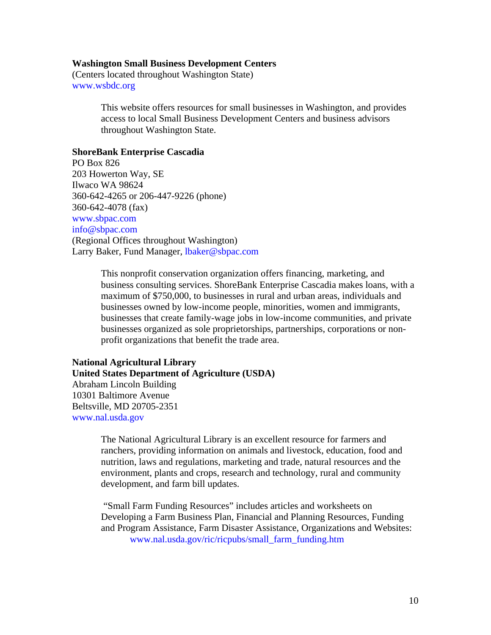#### **Washington Small Business Development Centers**

(Centers located throughout Washington State) [www.wsbdc.org](http://www.wsbdc.org/) 

> This website offers resources for small businesses in Washington, and provides access to local Small Business Development Centers and business advisors throughout Washington State.

#### **ShoreBank Enterprise Cascadia**

PO Box 826 203 Howerton Way, SE Ilwaco WA 98624 360-642-4265 or 206-447-9226 (phone) 360-642-4078 (fax) [www.sbpac.com](http://www.sbpac.com/)  [info@sbpac.com](mailto:info@sbpac.com)  (Regional Offices throughout Washington) Larry Baker, Fund Manager, [lbaker@sbpac.com](mailto:lbaker@sbpac.com) 

> This nonprofit conservation organization offers financing, marketing, and business consulting services. ShoreBank Enterprise Cascadia makes loans, with a maximum of \$750,000, to businesses in rural and urban areas, individuals and businesses owned by low-income people, minorities, women and immigrants, businesses that create family-wage jobs in low-income communities, and private businesses organized as sole proprietorships, partnerships, corporations or nonprofit organizations that benefit the trade area.

#### **National Agricultural Library United States Department of Agriculture (USDA)**  Abraham Lincoln Building 10301 Baltimore Avenue Beltsville, MD 20705-2351 [www.nal.usda.gov](http://www.nal.usda.gov/)

The National Agricultural Library is an excellent resource for farmers and ranchers, providing information on animals and livestock, education, food and nutrition, laws and regulations, marketing and trade, natural resources and the environment, plants and crops, research and technology, rural and community development, and farm bill updates.

 "Small Farm Funding Resources" includes articles and worksheets on Developing a Farm Business Plan, Financial and Planning Resources, Funding and Program Assistance, Farm Disaster Assistance, Organizations and Websites: [www.nal.usda.gov/ric/ricpubs/small\\_farm\\_funding.htm](http://www.nal.usda.gov/ric/ricpubs/small_farm_funding.htm)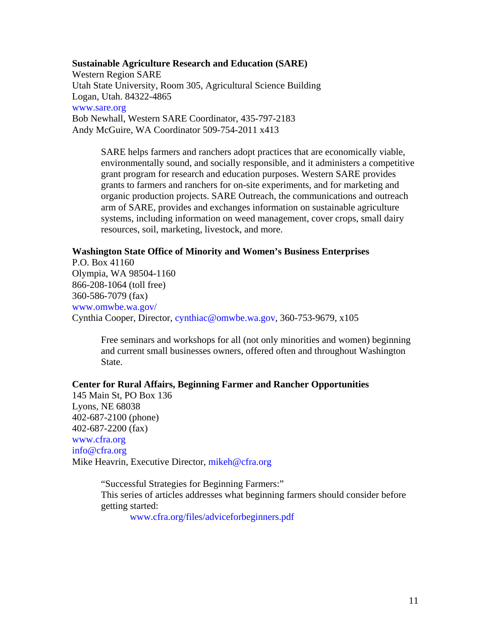**Sustainable Agriculture Research and Education (SARE)** 

Western Region SARE Utah State University, Room 305, Agricultural Science Building Logan, Utah. 84322-4865 [www.sare.org](http://www.sare.org/)  Bob Newhall, Western SARE Coordinator, 435-797-2183 Andy McGuire, WA Coordinator 509-754-2011 x413

> SARE helps farmers and ranchers adopt practices that are economically viable, environmentally sound, and socially responsible, and it administers a competitive grant program for research and education purposes. Western SARE provides grants to farmers and ranchers for on-site experiments, and for marketing and organic production projects. SARE Outreach, the communications and outreach arm of SARE, provides and exchanges information on sustainable agriculture systems, including information on weed management, cover crops, small dairy resources, soil, marketing, livestock, and more.

#### **Washington State Office of Minority and Women's Business Enterprises**

P.O. Box 41160 Olympia, WA 98504-1160 866-208-1064 (toll free) 360-586-7079 (fax) [www.omwbe.wa.gov/](http://www.omwbe.wa.gov/)  Cynthia Cooper, Director, [cynthiac@omwbe.wa.gov](mailto:cynthiac@omwbe.wa.gov), 360-753-9679, x105

Free seminars and workshops for all (not only minorities and women) beginning and current small businesses owners, offered often and throughout Washington State.

#### **Center for Rural Affairs, Beginning Farmer and Rancher Opportunities**

145 Main St, PO Box 136 Lyons, NE 68038 402-687-2100 (phone) 402-687-2200 (fax) [www.cfra.org](http://www.cfra.org/)  [info@cfra.org](mailto:info@cfra.org) Mike Heavrin, Executive Director, [mikeh@cfra.org](mailto:mikeh@cfra.org) 

> "Successful Strategies for Beginning Farmers:" This series of articles addresses what beginning farmers should consider before getting started:

[www.cfra.org/files/adviceforbeginners.pdf](http://www.cfra.org/files/adviceforbeginners.pdf)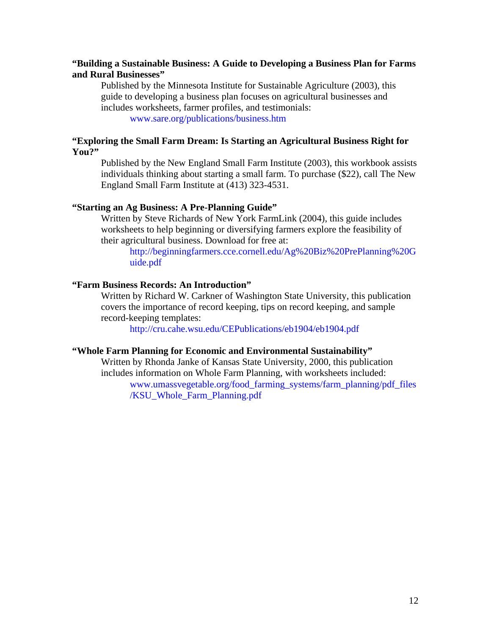#### **"Building a Sustainable Business: A Guide to Developing a Business Plan for Farms and Rural Businesses"**

Published by the Minnesota Institute for Sustainable Agriculture (2003), this guide to developing a business plan focuses on agricultural businesses and includes worksheets, farmer profiles, and testimonials: [www.sare.org/publications/business.htm](http://www.sare.org/publications/business.htm)

**"Exploring the Small Farm Dream: Is Starting an Agricultural Business Right for You?"**

Published by the New England Small Farm Institute (2003), this workbook assists individuals thinking about starting a small farm. To purchase (\$22), call The New England Small Farm Institute at (413) 323-4531.

#### **"Starting an Ag Business: A Pre-Planning Guide"**

Written by Steve Richards of New York FarmLink (2004), this guide includes worksheets to help beginning or diversifying farmers explore the feasibility of their agricultural business. Download for free at:

[http://beginningfarmers.cce.cornell.edu/Ag%20Biz%20PrePlanning%20G](http://beginningfarmers.cce.cornell.edu/Ag%20Biz%20PrePlanning%20Guide.pdf) [uide.pdf](http://beginningfarmers.cce.cornell.edu/Ag%20Biz%20PrePlanning%20Guide.pdf)

#### **"Farm Business Records: An Introduction"**

Written by Richard W. Carkner of Washington State University, this publication covers the importance of record keeping, tips on record keeping, and sample record-keeping templates:

<http://cru.cahe.wsu.edu/CEPublications/eb1904/eb1904.pdf>

#### **"Whole Farm Planning for Economic and Environmental Sustainability"**

Written by Rhonda Janke of Kansas State University, 2000, this publication includes information on Whole Farm Planning, with worksheets included:

[www.umassvegetable.org/food\\_farming\\_systems/farm\\_planning/pdf\\_files](http://www.umassvegetable.org/food_farming_systems/farm_planning/pdf_files/KSU_Whole_Farm_Planning.pdf)  [/KSU\\_Whole\\_Farm\\_Planning.pdf](http://www.umassvegetable.org/food_farming_systems/farm_planning/pdf_files/KSU_Whole_Farm_Planning.pdf)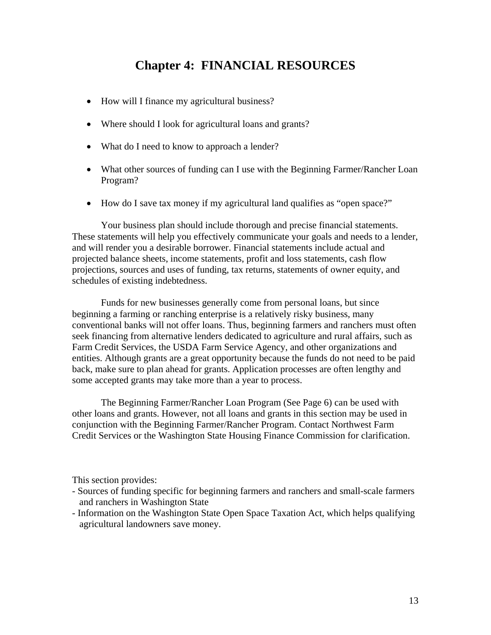## **Chapter 4: FINANCIAL RESOURCES**

- How will I finance my agricultural business?
- Where should I look for agricultural loans and grants?
- What do I need to know to approach a lender?
- What other sources of funding can I use with the Beginning Farmer/Rancher Loan Program?
- How do I save tax money if my agricultural land qualifies as "open space?"

Your business plan should include thorough and precise financial statements. These statements will help you effectively communicate your goals and needs to a lender, and will render you a desirable borrower. Financial statements include actual and projected balance sheets, income statements, profit and loss statements, cash flow projections, sources and uses of funding, tax returns, statements of owner equity, and schedules of existing indebtedness.

Funds for new businesses generally come from personal loans, but since beginning a farming or ranching enterprise is a relatively risky business, many conventional banks will not offer loans. Thus, beginning farmers and ranchers must often seek financing from alternative lenders dedicated to agriculture and rural affairs, such as Farm Credit Services, the USDA Farm Service Agency, and other organizations and entities. Although grants are a great opportunity because the funds do not need to be paid back, make sure to plan ahead for grants. Application processes are often lengthy and some accepted grants may take more than a year to process.

The Beginning Farmer/Rancher Loan Program (See Page 6) can be used with other loans and grants. However, not all loans and grants in this section may be used in conjunction with the Beginning Farmer/Rancher Program. Contact Northwest Farm Credit Services or the Washington State Housing Finance Commission for clarification.

This section provides:

- Sources of funding specific for beginning farmers and ranchers and small-scale farmers and ranchers in Washington State
- Information on the Washington State Open Space Taxation Act, which helps qualifying agricultural landowners save money.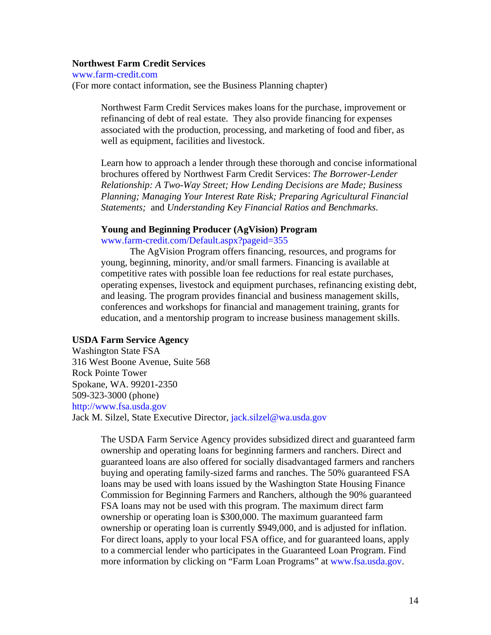#### **Northwest Farm Credit Services**

[www.farm-credit.com](http://www.farm-credit.com/)  (For more contact information, see the Business Planning chapter)

> Northwest Farm Credit Services makes loans for the purchase, improvement or refinancing of debt of real estate. They also provide financing for expenses associated with the production, processing, and marketing of food and fiber, as well as equipment, facilities and livestock.

Learn how to approach a lender through these thorough and concise informational brochures offered by Northwest Farm Credit Services: *The Borrower-Lender Relationship: A Two-Way Street; How Lending Decisions are Made; Business Planning; Managing Your Interest Rate Risk; Preparing Agricultural Financial Statements;* and *Understanding Key Financial Ratios and Benchmarks*.

#### **Young and Beginning Producer (AgVision) Program**

[www.farm-credit.com/Default.aspx?pageid=355](http://www.farm-credit.com/Default.aspx?pageid=355)

The AgVision Program offers financing, resources, and programs for young, beginning, minority, and/or small farmers. Financing is available at competitive rates with possible loan fee reductions for real estate purchases, operating expenses, livestock and equipment purchases, refinancing existing debt, and leasing. The program provides financial and business management skills, conferences and workshops for financial and management training, grants for education, and a mentorship program to increase business management skills.

#### **USDA Farm Service Agency**

Washington State FSA 316 West Boone Avenue, Suite 568 Rock Pointe Tower Spokane, WA. 99201-2350 509-323-3000 (phone) [http://www.fsa.usda.gov](http://www.fsa.usda.gov/)  Jack M. Silzel, State Executive Director, [jack.silzel@wa.usda.gov](mailto:jack.silzel@wa.usda.gov)

> The USDA Farm Service Agency provides subsidized direct and guaranteed farm ownership and operating loans for beginning farmers and ranchers. Direct and guaranteed loans are also offered for socially disadvantaged farmers and ranchers buying and operating family-sized farms and ranches. The 50% guaranteed FSA loans may be used with loans issued by the Washington State Housing Finance Commission for Beginning Farmers and Ranchers, although the 90% guaranteed FSA loans may not be used with this program. The maximum direct farm ownership or operating loan is \$300,000. The maximum guaranteed farm ownership or operating loan is currently \$949,000, and is adjusted for inflation. For direct loans, apply to your local FSA office, and for guaranteed loans, apply to a commercial lender who participates in the Guaranteed Loan Program. Find more information by clicking on "Farm Loan Programs" at [www.fsa.usda.gov](http://www.fsa.usda.gov/).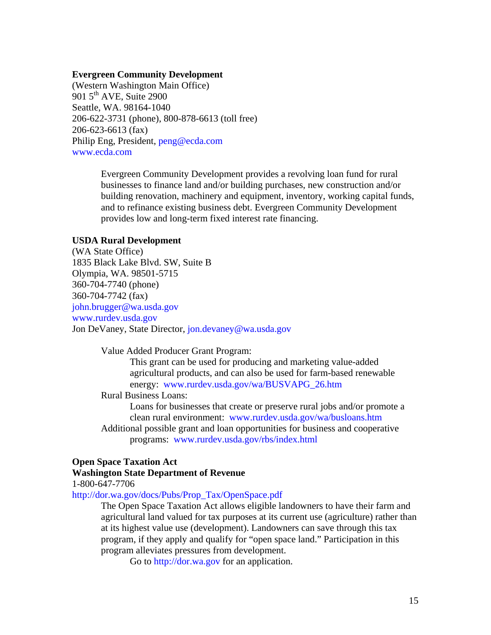#### **Evergreen Community Development**

(Western Washington Main Office) 901  $5<sup>th</sup>$  AVE, Suite 2900 Seattle, WA. 98164-1040 206-622-3731 (phone), 800-878-6613 (toll free) 206-623-6613 (fax) Philip Eng, President, [peng@ecda.com](mailto:peng@ecda.com) [www.ecda.com](http://www.ecda.com/) 

> Evergreen Community Development provides a revolving loan fund for rural businesses to finance land and/or building purchases, new construction and/or building renovation, machinery and equipment, inventory, working capital funds, and to refinance existing business debt. Evergreen Community Development provides low and long-term fixed interest rate financing.

#### **USDA Rural Development**

(WA State Office) 1835 Black Lake Blvd. SW, Suite B Olympia, WA. 98501-5715 360-704-7740 (phone) 360-704-7742 (fax) [john.brugger@wa.usda.gov](mailto:john.brugger@wa.usda.gov)  [www.rurdev.usda.gov](http://www.rurdev.usda.gov/)  Jon DeVaney, State Director, [jon.devaney@wa.usda.gov](mailto:jon.devaney@wa.usda.gov)

Value Added Producer Grant Program:

This grant can be used for producing and marketing value-added agricultural products, and can also be used for farm-based renewable energy: [www.rurdev.usda.gov/wa/BUSVAPG\\_26.htm](http://www.rurdev.usda.gov/wa/BUSVAPG_26.htm) 

Rural Business Loans:

Loans for businesses that create or preserve rural jobs and/or promote a clean rural environment: [www.rurdev.usda.gov/wa/busloans.htm](http://www.rurdev.usda.gov/wa/busloans.htm)

Additional possible grant and loan opportunities for business and cooperative programs: [www.rurdev.usda.gov/rbs/index.html](http://www.rurdev.usda.gov/rbs/index.html) 

#### **Open Space Taxation Act**

#### **Washington State Department of Revenue**

1-800-647-7706

[http://dor.wa.gov/docs/Pubs/Prop\\_Tax/OpenSpace.pdf](http://dor.wa.gov/docs/Pubs/Prop_Tax/OpenSpace.pdf)

The Open Space Taxation Act allows eligible landowners to have their farm and agricultural land valued for tax purposes at its current use (agriculture) rather than at its highest value use (development). Landowners can save through this tax program, if they apply and qualify for "open space land." Participation in this program alleviates pressures from development.

Go to [http://dor.wa.gov](http://dor.wa.gov/) for an application.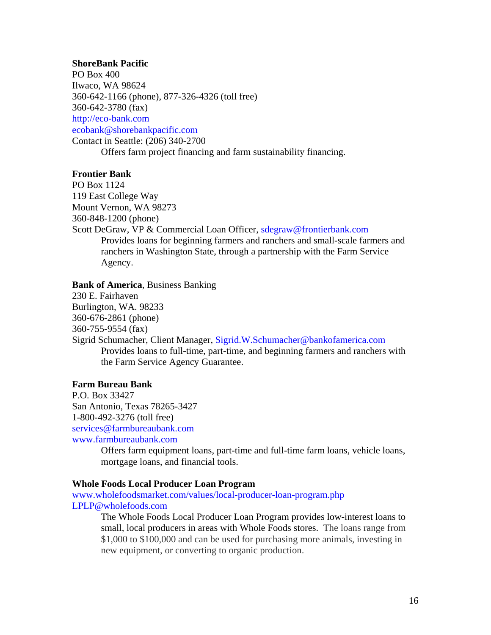#### **ShoreBank Pacific**

PO Box 400 Ilwaco, WA 98624 360-642-1166 (phone), 877-326-4326 (toll free) 360-642-3780 (fax) [http://eco-bank.com](http://eco-bank.com/)  [ecobank@shorebankpacific.com](mailto:ecobank@shorebankpacific.com)  Contact in Seattle: (206) 340-2700 Offers farm project financing and farm sustainability financing.

#### **Frontier Bank**

PO Box 1124 119 East College Way Mount Vernon, WA 98273 360-848-1200 (phone)

Scott DeGraw, VP & Commercial Loan Officer, sdegraw@frontierbank.com Provides loans for beginning farmers and ranchers and small-scale farmers and ranchers in Washington State, through a partnership with the Farm Service Agency.

#### **Bank of America**, Business Banking

230 E. Fairhaven Burlington, WA. 98233 360-676-2861 (phone) 360-755-9554 (fax)

Sigrid Schumacher, Client Manager, [Sigrid.W.Schumacher@bankofamerica.com](mailto:Sigrid.W.Schumacher@bankofamerica.com) Provides loans to full-time, part-time, and beginning farmers and ranchers with the Farm Service Agency Guarantee.

#### **Farm Bureau Bank**

P.O. Box 33427 San Antonio, Texas 78265-3427 1-800-492-3276 (toll free) [services@farmbureaubank.com](mailto:services@farmbureaubank.com)  [www.farmbureaubank.com](http://www.farmbureaubank.com/) 

> Offers farm equipment loans, part-time and full-time farm loans, vehicle loans, mortgage loans, and financial tools.

#### **Whole Foods Local Producer Loan Program**

[www.wholefoodsmarket.com/values/local-producer-loan-program.php](http://www.wholefoodsmarket.com/values/local-producer-loan-program.php) [LPLP@wholefoods.com](mailto:LPLP@wholefoods.com) 

> The Whole Foods Local Producer Loan Program provides low-interest loans to small, local producers in areas with Whole Foods stores. The loans range from \$1,000 to \$100,000 and can be used for purchasing more animals, investing in new equipment, or converting to organic production.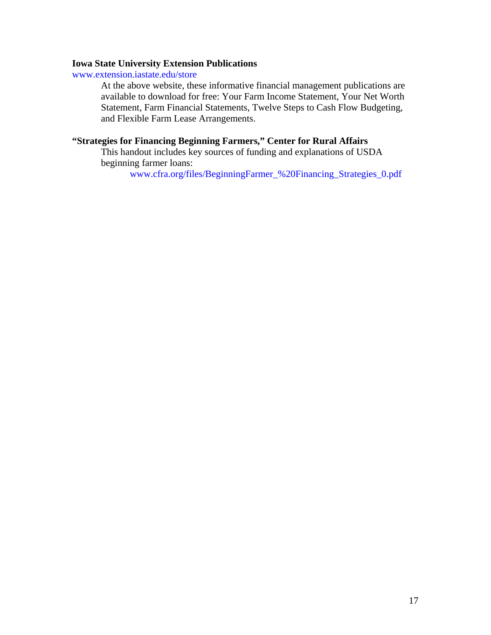#### **Iowa State University Extension Publications**

[www.extension.iastate.edu/store](http://www.extension.iastate.edu/store)

At the above website, these informative financial management publications are available to download for free: Your Farm Income Statement, Your Net Worth Statement, Farm Financial Statements, Twelve Steps to Cash Flow Budgeting, and Flexible Farm Lease Arrangements.

#### **"Strategies for Financing Beginning Farmers," Center for Rural Affairs**

This handout includes key sources of funding and explanations of USDA beginning farmer loans:

[www.cfra.org/files/BeginningFarmer\\_%20Financing\\_Strategies\\_0.pdf](http://www.cfra.org/files/BeginningFarmer_%20Financing_Strategies_0.pdf)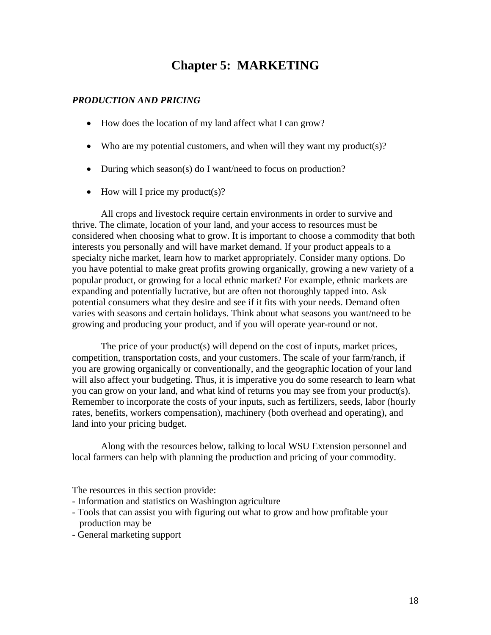## **Chapter 5: MARKETING**

#### *PRODUCTION AND PRICING*

- How does the location of my land affect what I can grow?
- Who are my potential customers, and when will they want my product(s)?
- During which season(s) do I want/need to focus on production?
- How will I price my product(s)?

All crops and livestock require certain environments in order to survive and thrive. The climate, location of your land, and your access to resources must be considered when choosing what to grow. It is important to choose a commodity that both interests you personally and will have market demand. If your product appeals to a specialty niche market, learn how to market appropriately. Consider many options. Do you have potential to make great profits growing organically, growing a new variety of a popular product, or growing for a local ethnic market? For example, ethnic markets are expanding and potentially lucrative, but are often not thoroughly tapped into. Ask potential consumers what they desire and see if it fits with your needs. Demand often varies with seasons and certain holidays. Think about what seasons you want/need to be growing and producing your product, and if you will operate year-round or not.

The price of your product(s) will depend on the cost of inputs, market prices, competition, transportation costs, and your customers. The scale of your farm/ranch, if you are growing organically or conventionally, and the geographic location of your land will also affect your budgeting. Thus, it is imperative you do some research to learn what you can grow on your land, and what kind of returns you may see from your product(s). Remember to incorporate the costs of your inputs, such as fertilizers, seeds, labor (hourly rates, benefits, workers compensation), machinery (both overhead and operating), and land into your pricing budget.

Along with the resources below, talking to local WSU Extension personnel and local farmers can help with planning the production and pricing of your commodity.

The resources in this section provide:

- Information and statistics on Washington agriculture
- Tools that can assist you with figuring out what to grow and how profitable your production may be
- General marketing support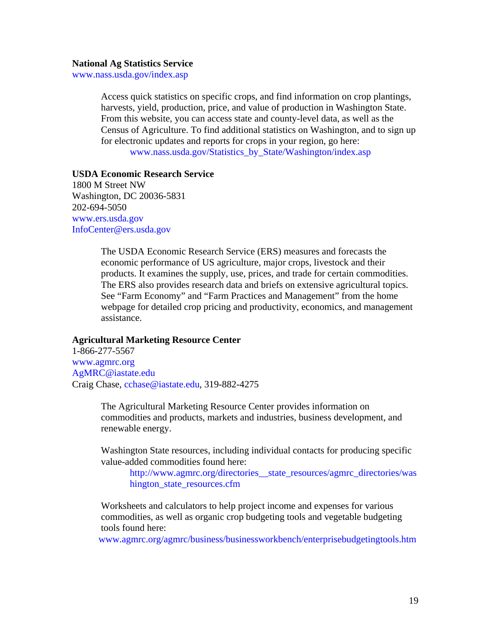#### **National Ag Statistics Service**

[www.nass.usda.gov/index.asp](http://www.nass.usda.gov/index.asp)

Access quick statistics on specific crops, and find information on crop plantings, harvests, yield, production, price, and value of production in Washington State. From this website, you can access state and county-level data, as well as the Census of Agriculture. To find additional statistics on Washington, and to sign up for electronic updates and reports for crops in your region, go here:

[www.nass.usda.gov/Statistics\\_by\\_State/Washington/index.asp](http://www.nass.usda.gov/Statistics_by_State/Washington/index.asp) 

#### **USDA Economic Research Service**

1800 M Street NW Washington, DC 20036-5831 202-694-5050 [www.ers.usda.gov](http://www.ers.usda.gov/) [InfoCenter@ers.usda.gov](mailto:InfoCenter@ers.usda.gov)

> The USDA Economic Research Service (ERS) measures and forecasts the economic performance of US agriculture, major crops, livestock and their products. It examines the supply, use, prices, and trade for certain commodities. The ERS also provides research data and briefs on extensive agricultural topics. See "Farm Economy" and "Farm Practices and Management" from the home webpage for detailed crop pricing and productivity, economics, and management assistance.

#### **Agricultural Marketing Resource Center**

1-866-277-5567 [www.agmrc.org](http://www.agmrc.org/) [AgMRC@iastate.edu](mailto:AgMRC@iastate.edu) Craig Chase, [cchase@iastate.edu,](mailto:cchase@iastate.edu) 319-882-4275

> The Agricultural Marketing Resource Center provides information on commodities and products, markets and industries, business development, and renewable energy.

Washington State resources, including individual contacts for producing specific value-added commodities found here:

[http://www.agmrc.org/directories\\_\\_state\\_resources/agmrc\\_directories/was](http://www.agmrc.org/directories__state_resources/agmrc_directories/washington_state_resources.cfm)  [hington\\_state\\_resources.cfm](http://www.agmrc.org/directories__state_resources/agmrc_directories/washington_state_resources.cfm) 

Worksheets and calculators to help project income and expenses for various commodities, as well as organic crop budgeting tools and vegetable budgeting tools found here:

[www.agmrc.org/agmrc/business/businessworkbench/enterprisebudgetingtools.htm](http://www.agmrc.org/agmrc/business/businessworkbench/enterprisebudgetingtools.htm)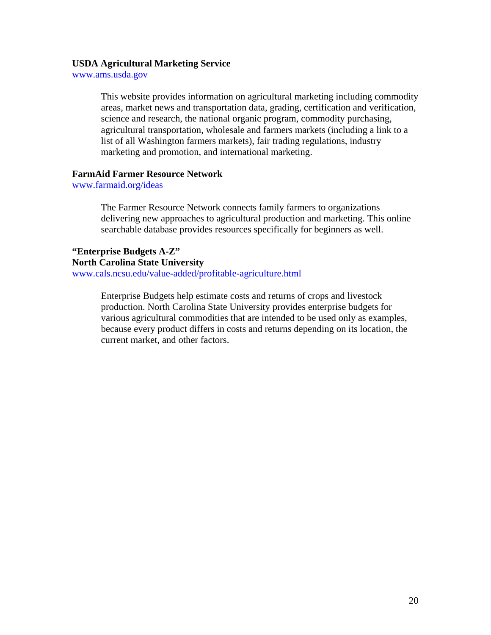#### **USDA Agricultural Marketing Service**

[www.ams.usda.gov](http://www.ams.usda.gov/) 

This website provides information on agricultural marketing including commodity areas, market news and transportation data, grading, certification and verification, science and research, the national organic program, commodity purchasing, agricultural transportation, wholesale and farmers markets (including a link to a list of all Washington farmers markets), fair trading regulations, industry marketing and promotion, and international marketing.

#### **FarmAid Farmer Resource Network**

[www.farmaid.org/ideas](http://www.farmaid.org/ideas)

The Farmer Resource Network connects family farmers to organizations delivering new approaches to agricultural production and marketing. This online searchable database provides resources specifically for beginners as well.

**"Enterprise Budgets A-Z" North Carolina State University**  [www.cals.ncsu.edu/value-added/profitable-agriculture.html](http://www.cals.ncsu.edu/value-added/profitable-agriculture.html)

> Enterprise Budgets help estimate costs and returns of crops and livestock production. North Carolina State University provides enterprise budgets for various agricultural commodities that are intended to be used only as examples, because every product differs in costs and returns depending on its location, the current market, and other factors.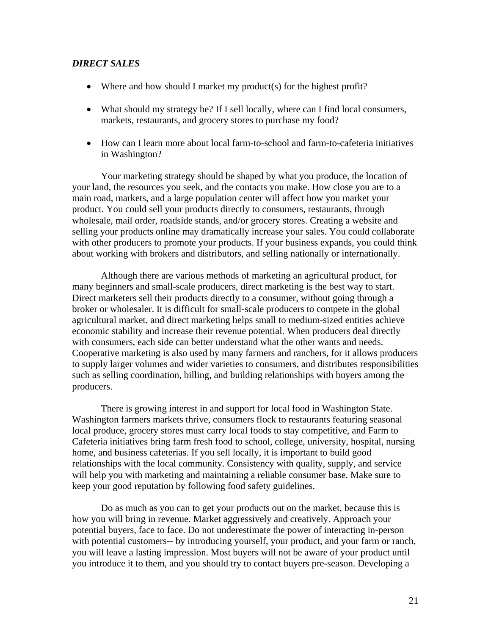#### *DIRECT SALES*

- Where and how should I market my product(s) for the highest profit?
- What should my strategy be? If I sell locally, where can I find local consumers, markets, restaurants, and grocery stores to purchase my food?
- How can I learn more about local farm-to-school and farm-to-cafeteria initiatives in Washington?

Your marketing strategy should be shaped by what you produce, the location of your land, the resources you seek, and the contacts you make. How close you are to a main road, markets, and a large population center will affect how you market your product. You could sell your products directly to consumers, restaurants, through wholesale, mail order, roadside stands, and/or grocery stores. Creating a website and selling your products online may dramatically increase your sales. You could collaborate with other producers to promote your products. If your business expands, you could think about working with brokers and distributors, and selling nationally or internationally.

Although there are various methods of marketing an agricultural product, for many beginners and small-scale producers, direct marketing is the best way to start. Direct marketers sell their products directly to a consumer, without going through a broker or wholesaler. It is difficult for small-scale producers to compete in the global agricultural market, and direct marketing helps small to medium-sized entities achieve economic stability and increase their revenue potential. When producers deal directly with consumers, each side can better understand what the other wants and needs. Cooperative marketing is also used by many farmers and ranchers, for it allows producers to supply larger volumes and wider varieties to consumers, and distributes responsibilities such as selling coordination, billing, and building relationships with buyers among the producers.

There is growing interest in and support for local food in Washington State. Washington farmers markets thrive, consumers flock to restaurants featuring seasonal local produce, grocery stores must carry local foods to stay competitive, and Farm to Cafeteria initiatives bring farm fresh food to school, college, university, hospital, nursing home, and business cafeterias. If you sell locally, it is important to build good relationships with the local community. Consistency with quality, supply, and service will help you with marketing and maintaining a reliable consumer base. Make sure to keep your good reputation by following food safety guidelines.

Do as much as you can to get your products out on the market, because this is how you will bring in revenue. Market aggressively and creatively. Approach your potential buyers, face to face. Do not underestimate the power of interacting in-person with potential customers-- by introducing yourself, your product, and your farm or ranch, you will leave a lasting impression. Most buyers will not be aware of your product until you introduce it to them, and you should try to contact buyers pre-season. Developing a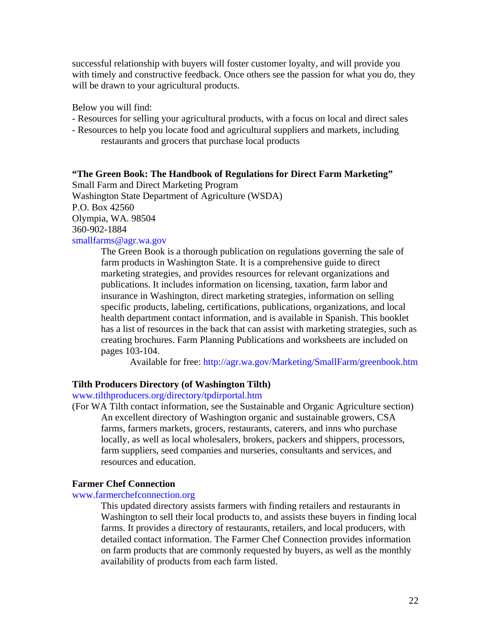successful relationship with buyers will foster customer loyalty, and will provide you with timely and constructive feedback. Once others see the passion for what you do, they will be drawn to your agricultural products.

Below you will find:

- Resources for selling your agricultural products, with a focus on local and direct sales
- Resources to help you locate food and agricultural suppliers and markets, including restaurants and grocers that purchase local products

#### **"The Green Book: The Handbook of Regulations for Direct Farm Marketing"**

Small Farm and Direct Marketing Program Washington State Department of Agriculture (WSDA) P.O. Box 42560 Olympia, WA. 98504 360-902-1884 [smallfarms@agr.wa.gov](mailto:smallfarms@agr.wa.gov) 

> The Green Book is a thorough publication on regulations governing the sale of farm products in Washington State. It is a comprehensive guide to direct marketing strategies, and provides resources for relevant organizations and publications. It includes information on licensing, taxation, farm labor and insurance in Washington, direct marketing strategies, information on selling specific products, labeling, certifications, publications, organizations, and local health department contact information, and is available in Spanish. This booklet has a list of resources in the back that can assist with marketing strategies, such as creating brochures. Farm Planning Publications and worksheets are included on pages 103-104.

Available for free: <http://agr.wa.gov/Marketing/SmallFarm/greenbook.htm>

#### **Tilth Producers Directory (of Washington Tilth)**

[www.tilthproducers.org/directory/tpdirportal.htm](http://www.tilthproducers.org/directory/tpdirportal.htm) 

(For WA Tilth contact information, see the Sustainable and Organic Agriculture section) An excellent directory of Washington organic and sustainable growers, CSA farms, farmers markets, grocers, restaurants, caterers, and inns who purchase locally, as well as local wholesalers, brokers, packers and shippers, processors, farm suppliers, seed companies and nurseries, consultants and services, and resources and education.

#### **Farmer Chef Connection**

#### [www.farmerchefconnection.org](http://www.farmerchefconnection.org/)

This updated directory assists farmers with finding retailers and restaurants in Washington to sell their local products to, and assists these buyers in finding local farms. It provides a directory of restaurants, retailers, and local producers, with detailed contact information. The Farmer Chef Connection provides information on farm products that are commonly requested by buyers, as well as the monthly availability of products from each farm listed.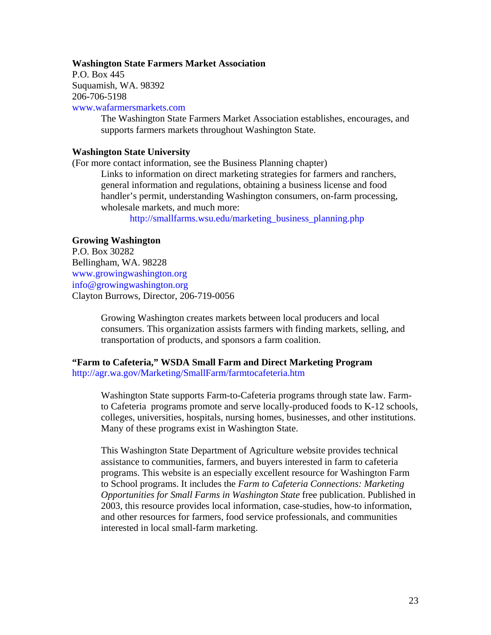#### **Washington State Farmers Market Association**

P.O. Box 445 Suquamish, WA. 98392 206-706-5198

[www.wafarmersmarkets.com](http://www.wafarmersmarkets.com/) 

The Washington State Farmers Market Association establishes, encourages, and supports farmers markets throughout Washington State.

#### **Washington State University**

(For more contact information, see the Business Planning chapter)

Links to information on direct marketing strategies for farmers and ranchers, general information and regulations, obtaining a business license and food handler's permit, understanding Washington consumers, on-farm processing, wholesale markets, and much more:

[http://smallfarms.wsu.edu/marketing\\_business\\_planning.php](http://smallfarms.wsu.edu/marketing_business_planning.php) 

#### **Growing Washington**

P.O. Box 30282 Bellingham, WA. 98228 [www.growingwashington.org](http://www.growingwashington.org/)  [info@growingwashington.org](mailto:info@growingwashington.org)  Clayton Burrows, Director, 206-719-0056

> Growing Washington creates markets between local producers and local consumers. This organization assists farmers with finding markets, selling, and transportation of products, and sponsors a farm coalition.

#### **"Farm to Cafeteria," WSDA Small Farm and Direct Marketing Program**  <http://agr.wa.gov/Marketing/SmallFarm/farmtocafeteria.htm>

Washington State supports Farm-to-Cafeteria programs through state law. Farmto Cafeteria programs promote and serve locally-produced foods to K-12 schools, colleges, universities, hospitals, nursing homes, businesses, and other institutions. Many of these programs exist in Washington State.

This Washington State Department of Agriculture website provides technical assistance to communities, farmers, and buyers interested in farm to cafeteria programs. This website is an especially excellent resource for Washington Farm to School programs. It includes the *Farm to Cafeteria Connections: Marketing Opportunities for Small Farms in Washington State* free publication. Published in 2003, this resource provides local information, case-studies, how-to information, and other resources for farmers, food service professionals, and communities interested in local small-farm marketing.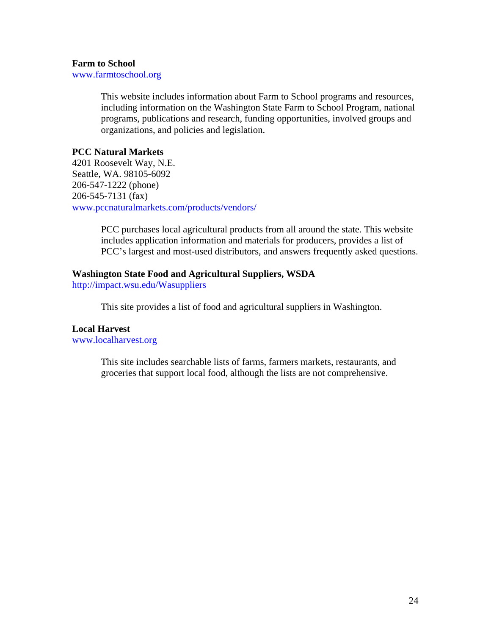#### **Farm to School**

[www.farmtoschool.org](http://www.farmtoschool.org/) 

This website includes information about Farm to School programs and resources, including information on the Washington State Farm to School Program, national programs, publications and research, funding opportunities, involved groups and organizations, and policies and legislation.

#### **PCC Natural Markets**

4201 Roosevelt Way, N.E. Seattle, WA. 98105-6092 206-547-1222 (phone) 206-545-7131 (fax) [www.pccnaturalmarkets.com/products/vendors/](http://www.pccnaturalmarkets.com/products/vendors/) 

> PCC purchases local agricultural products from all around the state. This website includes application information and materials for producers, provides a list of PCC's largest and most-used distributors, and answers frequently asked questions.

#### **Washington State Food and Agricultural Suppliers, WSDA**

<http://impact.wsu.edu/Wasuppliers>

This site provides a list of food and agricultural suppliers in Washington.

#### **Local Harvest**

[www.localharvest.org](http://www.localharvest.org/) 

This site includes searchable lists of farms, farmers markets, restaurants, and groceries that support local food, although the lists are not comprehensive.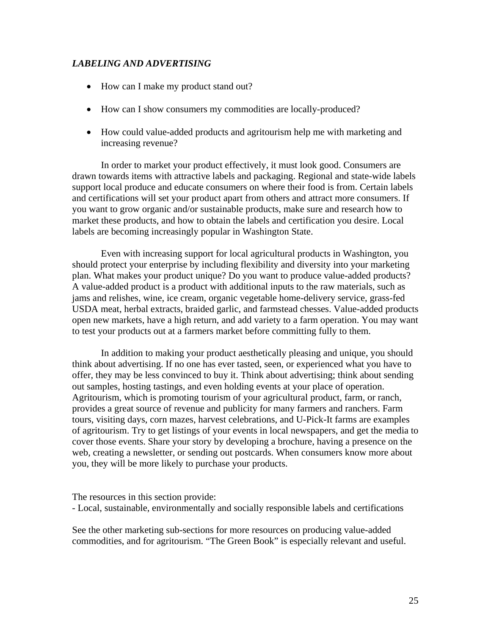#### *LABELING AND ADVERTISING*

- How can I make my product stand out?
- How can I show consumers my commodities are locally-produced?
- How could value-added products and agritourism help me with marketing and increasing revenue?

In order to market your product effectively, it must look good. Consumers are drawn towards items with attractive labels and packaging. Regional and state-wide labels support local produce and educate consumers on where their food is from. Certain labels and certifications will set your product apart from others and attract more consumers. If you want to grow organic and/or sustainable products, make sure and research how to market these products, and how to obtain the labels and certification you desire. Local labels are becoming increasingly popular in Washington State.

Even with increasing support for local agricultural products in Washington, you should protect your enterprise by including flexibility and diversity into your marketing plan. What makes your product unique? Do you want to produce value-added products? A value-added product is a product with additional inputs to the raw materials, such as jams and relishes, wine, ice cream, organic vegetable home-delivery service, grass-fed USDA meat, herbal extracts, braided garlic, and farmstead chesses. Value-added products open new markets, have a high return, and add variety to a farm operation. You may want to test your products out at a farmers market before committing fully to them.

In addition to making your product aesthetically pleasing and unique, you should think about advertising. If no one has ever tasted, seen, or experienced what you have to offer, they may be less convinced to buy it. Think about advertising; think about sending out samples, hosting tastings, and even holding events at your place of operation. Agritourism, which is promoting tourism of your agricultural product, farm, or ranch, provides a great source of revenue and publicity for many farmers and ranchers. Farm tours, visiting days, corn mazes, harvest celebrations, and U-Pick-It farms are examples of agritourism. Try to get listings of your events in local newspapers, and get the media to cover those events. Share your story by developing a brochure, having a presence on the web, creating a newsletter, or sending out postcards. When consumers know more about you, they will be more likely to purchase your products.

The resources in this section provide: - Local, sustainable, environmentally and socially responsible labels and certifications

See the other marketing sub-sections for more resources on producing value-added commodities, and for agritourism. "The Green Book" is especially relevant and useful.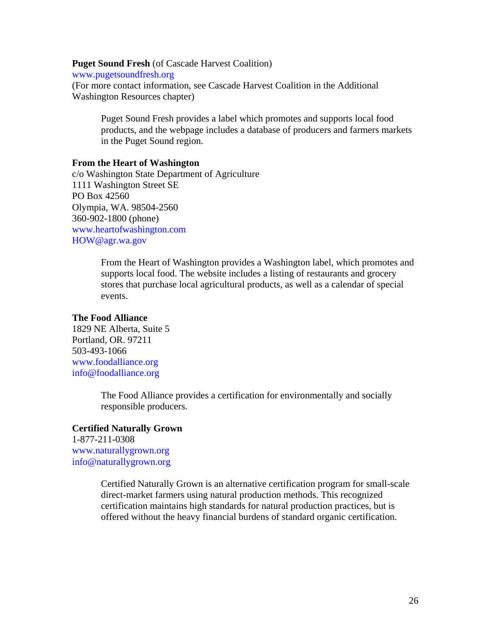**Puget Sound Fresh** (of Cascade Harvest Coalition)

[www.pugetsoundfresh.org](http://www.pugetsoundfresh.org/) 

(For more contact information, see Cascade Harvest Coalition in the Additional Washington Resources chapter)

Puget Sound Fresh provides a label which promotes and supports local food products, and the webpage includes a database of producers and farmers markets in the Puget Sound region.

#### **From the Heart of Washington**

c/o Washington State Department of Agriculture 1111 Washington Street SE PO Box 42560 Olympia, WA. 98504-2560 360-902-1800 (phone) [www.heartofwashington.com](http://www.heartofwashington.com/)  [HOW@agr.wa.gov](mailto:HOW@agr.wa.gov) 

> From the Heart of Washington provides a Washington label, which promotes and supports local food. The website includes a listing of restaurants and grocery stores that purchase local agricultural products, as well as a calendar of special events.

#### **The Food Alliance**

1829 NE Alberta, Suite 5 Portland, OR. 97211 503-493-1066 [www.foodalliance.org](http://www.foodalliance.org/) [info@foodalliance.org](mailto:info@foodalliance.org)

> The Food Alliance provides a certification for environmentally and socially responsible producers.

#### **Certified Naturally Grown**

1-877-211-0308 [www.naturallygrown.org](http://www.naturallygrown.org/) [info@naturallygrown.org](mailto:info@naturallygrown.org)

> Certified Naturally Grown is an alternative certification program for small-scale direct-market farmers using natural production methods. This recognized certification maintains high standards for natural production practices, but is offered without the heavy financial burdens of standard organic certification.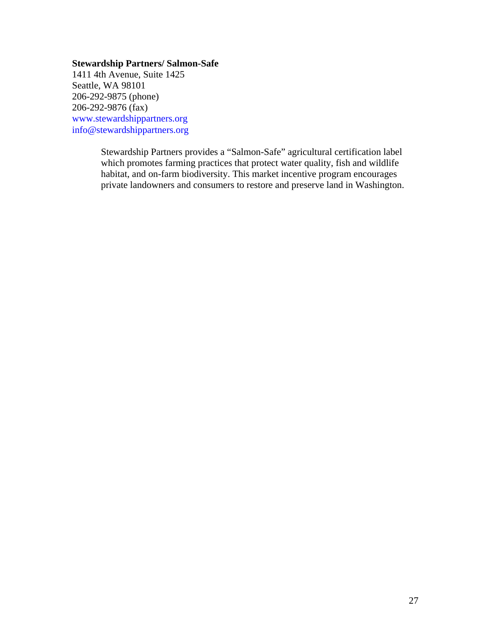#### **Stewardship Partners/ Salmon-Safe**

1411 4th Avenue, Suite 1425 Seattle, WA 98101 206-292-9875 (phone) 206-292-9876 (fax) [www.stewardshippartners.org](http://www.stewardshippartners.org/) [info@stewardshippartners.org](mailto:info@stewardshippartners.org) 

> Stewardship Partners provides a "Salmon-Safe" agricultural certification label which promotes farming practices that protect water quality, fish and wildlife habitat, and on-farm biodiversity. This market incentive program encourages private landowners and consumers to restore and preserve land in Washington.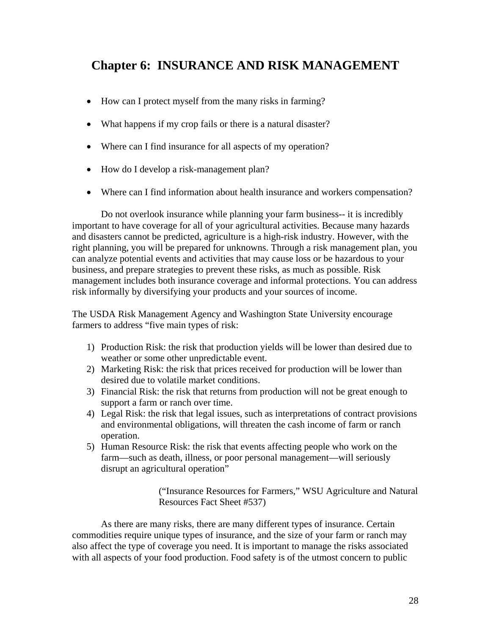## **Chapter 6: INSURANCE AND RISK MANAGEMENT**

- How can I protect myself from the many risks in farming?
- What happens if my crop fails or there is a natural disaster?
- Where can I find insurance for all aspects of my operation?
- How do I develop a risk-management plan?
- Where can I find information about health insurance and workers compensation?

Do not overlook insurance while planning your farm business-- it is incredibly important to have coverage for all of your agricultural activities. Because many hazards and disasters cannot be predicted, agriculture is a high-risk industry. However, with the right planning, you will be prepared for unknowns. Through a risk management plan, you can analyze potential events and activities that may cause loss or be hazardous to your business, and prepare strategies to prevent these risks, as much as possible. Risk management includes both insurance coverage and informal protections. You can address risk informally by diversifying your products and your sources of income.

The USDA Risk Management Agency and Washington State University encourage farmers to address "five main types of risk:

- 1) Production Risk: the risk that production yields will be lower than desired due to weather or some other unpredictable event.
- 2) Marketing Risk: the risk that prices received for production will be lower than desired due to volatile market conditions.
- 3) Financial Risk: the risk that returns from production will not be great enough to support a farm or ranch over time.
- 4) Legal Risk: the risk that legal issues, such as interpretations of contract provisions and environmental obligations, will threaten the cash income of farm or ranch operation.
- 5) Human Resource Risk: the risk that events affecting people who work on the farm—such as death, illness, or poor personal management—will seriously disrupt an agricultural operation"

("Insurance Resources for Farmers," WSU Agriculture and Natural Resources Fact Sheet #537)

As there are many risks, there are many different types of insurance. Certain commodities require unique types of insurance, and the size of your farm or ranch may also affect the type of coverage you need. It is important to manage the risks associated with all aspects of your food production. Food safety is of the utmost concern to public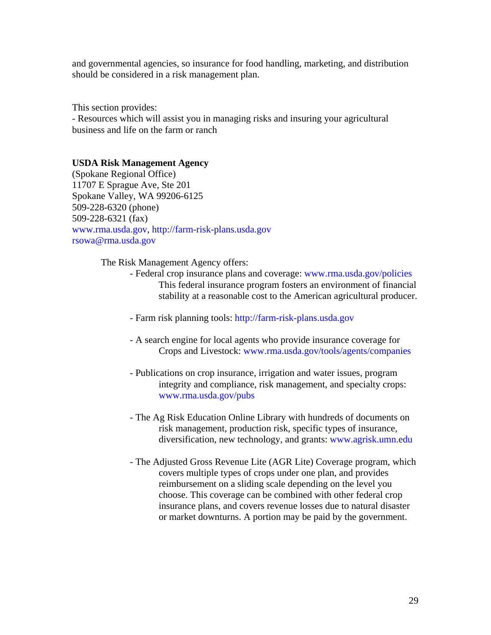and governmental agencies, so insurance for food handling, marketing, and distribution should be considered in a risk management plan.

This section provides: - Resources which will assist you in managing risks and insuring your agricultural business and life on the farm or ranch

#### **USDA Risk Management Agency**

(Spokane Regional Office) 11707 E Sprague Ave, Ste 201 Spokane Valley, WA 99206-6125 509-228-6320 (phone) 509-228-6321 (fax) [www.rma.usda.gov,](http://www.rma.usda.gov/) [http://farm-risk-plans.usda.gov](http://farm-risk-plans.usda.gov/) [rsowa@rma.usda.gov](mailto:rsowa@rma.usda.gov)

The Risk Management Agency offers:

- Federal crop insurance plans and coverage: [www.rma.usda.gov/policies](http://www.rma.usda.gov/policies)  This federal insurance program fosters an environment of financial stability at a reasonable cost to the American agricultural producer.
- Farm risk planning tools: [http://farm-risk-plans.usda.gov](http://farm-risk-plans.usda.gov/)
- A search engine for local agents who provide insurance coverage for Crops and Livestock: [www.rma.usda.gov/tools/agents/companies](http://www.rma.usda.gov/tools/agents/companies)
- Publications on crop insurance, irrigation and water issues, program integrity and compliance, risk management, and specialty crops: [www.rma.usda.gov/pubs](http://www.rma.usda.gov/pubs)
- The Ag Risk Education Online Library with hundreds of documents on risk management, production risk, specific types of insurance, diversification, new technology, and grants: [www.agrisk.umn.edu](http://www.agrisk.umn.edu/)
- The Adjusted Gross Revenue Lite (AGR Lite) Coverage program, which covers multiple types of crops under one plan, and provides reimbursement on a sliding scale depending on the level you choose. This coverage can be combined with other federal crop insurance plans, and covers revenue losses due to natural disaster or market downturns. A portion may be paid by the government.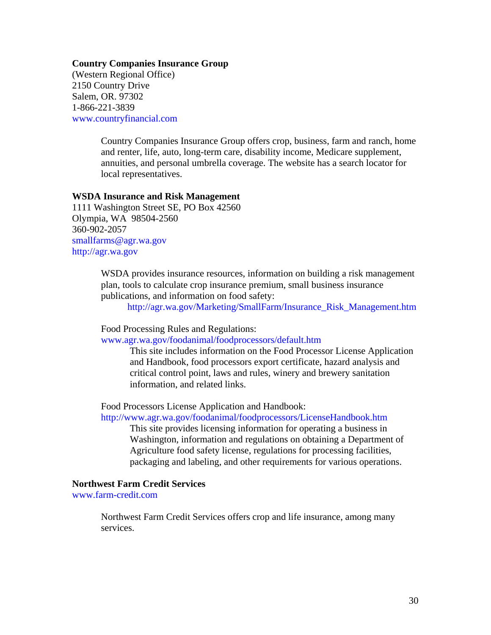#### **Country Companies Insurance Group**

(Western Regional Office) 2150 Country Drive Salem, OR. 97302 1-866-221-3839 [www.countryfinancial.com](http://www.countryfinancial.com/) 

> Country Companies Insurance Group offers crop, business, farm and ranch, home and renter, life, auto, long-term care, disability income, Medicare supplement, annuities, and personal umbrella coverage. The website has a search locator for local representatives.

#### **WSDA Insurance and Risk Management**

1111 Washington Street SE, PO Box 42560 Olympia, WA 98504-2560 360-902-2057 [smallfarms@agr.wa.gov](mailto:smallfarms@agr.wa.gov)  [http://agr.wa.gov](http://agr.wa.gov/) 

> WSDA provides insurance resources, information on building a risk management plan, tools to calculate crop insurance premium, small business insurance publications, and information on food safety:

[http://agr.wa.gov/Marketing/SmallFarm/Insurance\\_Risk\\_Management.htm](http://agr.wa.gov/Marketing/SmallFarm/Insurance_Risk_Management.htm) 

Food Processing Rules and Regulations:

[www.agr.wa.gov/foodanimal/foodprocessors/default.htm](http://www.agr.wa.gov/foodanimal/foodprocessors/default.htm) 

This site includes information on the Food Processor License Application and Handbook, food processors export certificate, hazard analysis and critical control point, laws and rules, winery and brewery sanitation information, and related links.

Food Processors License Application and Handbook:

<http://www.agr.wa.gov/foodanimal/foodprocessors/LicenseHandbook.htm>

This site provides licensing information for operating a business in Washington, information and regulations on obtaining a Department of Agriculture food safety license, regulations for processing facilities, packaging and labeling, and other requirements for various operations.

#### **Northwest Farm Credit Services**

[www.farm-credit.com](http://www.farm-credit.com/)

Northwest Farm Credit Services offers crop and life insurance, among many services.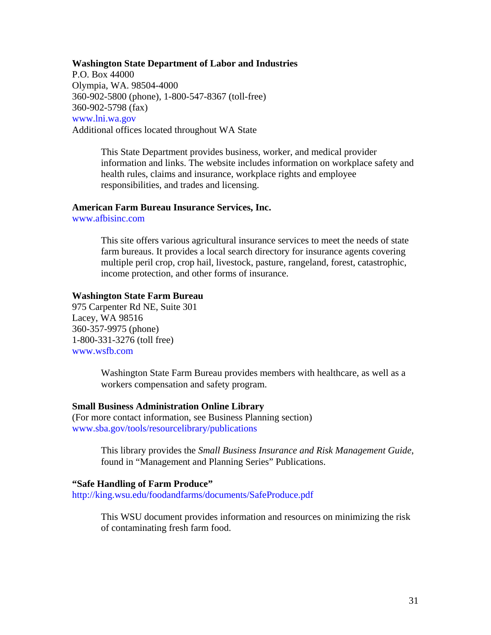#### **Washington State Department of Labor and Industries**

P.O. Box 44000 Olympia, WA. 98504-4000 360-902-5800 (phone), 1-800-547-8367 (toll-free) 360-902-5798 (fax) [www.lni.wa.gov](http://www.lni.wa.gov/)  Additional offices located throughout WA State

> This State Department provides business, worker, and medical provider information and links. The website includes information on workplace safety and health rules, claims and insurance, workplace rights and employee responsibilities, and trades and licensing.

#### **American Farm Bureau Insurance Services, Inc.**

[www.afbisinc.com](http://www.afbisinc.com/) 

This site offers various agricultural insurance services to meet the needs of state farm bureaus. It provides a local search directory for insurance agents covering multiple peril crop, crop hail, livestock, pasture, rangeland, forest, catastrophic, income protection, and other forms of insurance.

#### **Washington State Farm Bureau**

975 Carpenter Rd NE, Suite 301 Lacey, WA 98516 360-357-9975 (phone) 1-800-331-3276 (toll free) [www.wsfb.com](http://www.wsfb.com/) 

> Washington State Farm Bureau provides members with healthcare, as well as a workers compensation and safety program.

#### **Small Business Administration Online Library**

(For more contact information, see Business Planning section) [www.sba.gov/tools/resourcelibrary/publications](http://www.sba.gov/tools/resourcelibrary/publications) 

> This library provides the *Small Business Insurance and Risk Management Guide*, found in "Management and Planning Series" Publications.

#### **"Safe Handling of Farm Produce"**

<http://king.wsu.edu/foodandfarms/documents/SafeProduce.pdf>

This WSU document provides information and resources on minimizing the risk of contaminating fresh farm food.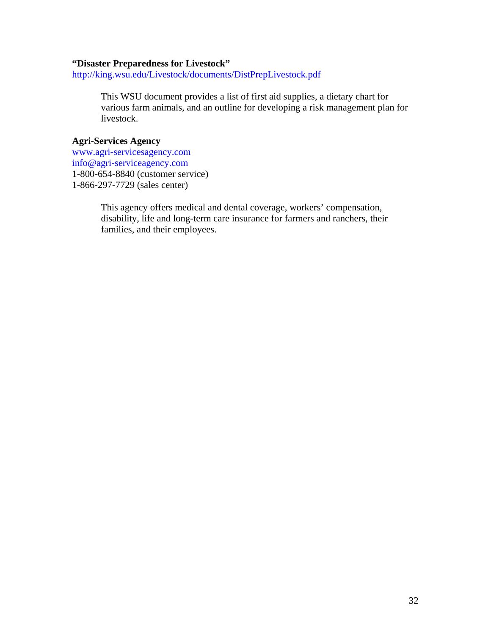#### **"Disaster Preparedness for Livestock"**

<http://king.wsu.edu/Livestock/documents/DistPrepLivestock.pdf>

This WSU document provides a list of first aid supplies, a dietary chart for various farm animals, and an outline for developing a risk management plan for livestock.

#### **Agri-Services Agency**

[www.agri-servicesagency.com](http://www.agri-servicesagency.com/)  [info@agri-serviceagency.com](mailto:info@agri-serviceagency.com)  1-800-654-8840 (customer service) 1-866-297-7729 (sales center)

> This agency offers medical and dental coverage, workers' compensation, disability, life and long-term care insurance for farmers and ranchers, their families, and their employees.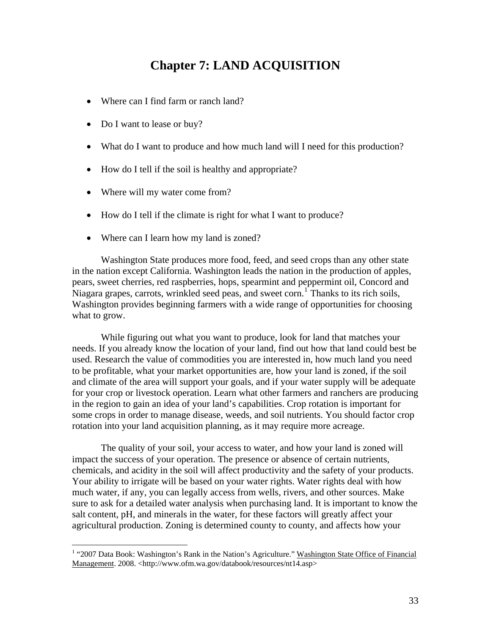## **Chapter 7: LAND ACQUISITION**

- Where can I find farm or ranch land?
- Do I want to lease or buy?
- What do I want to produce and how much land will I need for this production?
- How do I tell if the soil is healthy and appropriate?
- Where will my water come from?

 $\overline{a}$ 

- How do I tell if the climate is right for what I want to produce?
- Where can I learn how my land is zoned?

Washington State produces more food, feed, and seed crops than any other state in the nation except California. Washington leads the nation in the production of apples, pears, sweet cherries, red raspberries, hops, spearmint and peppermint oil, Concord and Niagara grapes, carrots, wrinkled seed peas, and sweet corn.<sup>[1](#page-32-0)</sup> Thanks to its rich soils, Washington provides beginning farmers with a wide range of opportunities for choosing what to grow.

While figuring out what you want to produce, look for land that matches your needs. If you already know the location of your land, find out how that land could best be used. Research the value of commodities you are interested in, how much land you need to be profitable, what your market opportunities are, how your land is zoned, if the soil and climate of the area will support your goals, and if your water supply will be adequate for your crop or livestock operation. Learn what other farmers and ranchers are producing in the region to gain an idea of your land's capabilities. Crop rotation is important for some crops in order to manage disease, weeds, and soil nutrients. You should factor crop rotation into your land acquisition planning, as it may require more acreage.

The quality of your soil, your access to water, and how your land is zoned will impact the success of your operation. The presence or absence of certain nutrients, chemicals, and acidity in the soil will affect productivity and the safety of your products. Your ability to irrigate will be based on your water rights. Water rights deal with how much water, if any, you can legally access from wells, rivers, and other sources. Make sure to ask for a detailed water analysis when purchasing land. It is important to know the salt content, pH, and minerals in the water, for these factors will greatly affect your agricultural production. Zoning is determined county to county, and affects how your

<span id="page-32-0"></span><sup>&</sup>lt;sup>1</sup> "2007 Data Book: Washington's Rank in the Nation's Agriculture." Washington State Office of Financial Management. 2008. <http://www.ofm.wa.gov/databook/resources/nt14.asp>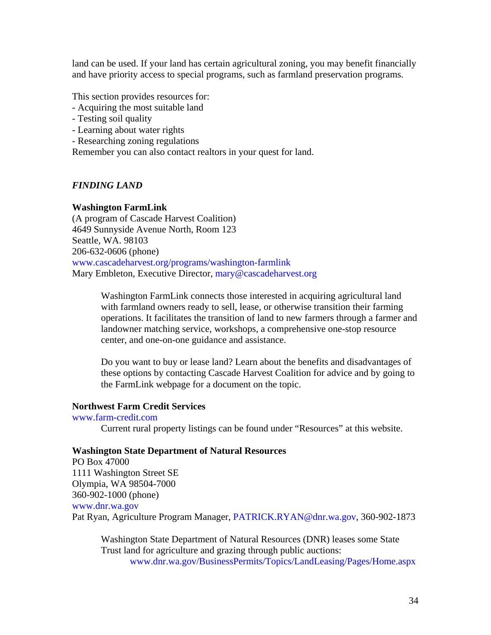land can be used. If your land has certain agricultural zoning, you may benefit financially and have priority access to special programs, such as farmland preservation programs.

This section provides resources for:

- Acquiring the most suitable land
- Testing soil quality
- Learning about water rights
- Researching zoning regulations

Remember you can also contact realtors in your quest for land.

#### *FINDING LAND*

#### **Washington FarmLink**

(A program of Cascade Harvest Coalition) 4649 Sunnyside Avenue North, Room 123 Seattle, WA. 98103 206-632-0606 (phone) [www.cascadeharvest.org/programs/washington-farmlink](http://www.cascadeharvest.org/programs/washington-farmlink)  Mary Embleton, Executive Director, [mary@cascadeharvest.org](mailto:mary@cascadeharvest.org)

> Washington FarmLink connects those interested in acquiring agricultural land with farmland owners ready to sell, lease, or otherwise transition their farming operations. It facilitates the transition of land to new farmers through a farmer and landowner matching service, workshops, a comprehensive one-stop resource center, and one-on-one guidance and assistance.

> Do you want to buy or lease land? Learn about the benefits and disadvantages of these options by contacting Cascade Harvest Coalition for advice and by going to the FarmLink webpage for a document on the topic.

#### **Northwest Farm Credit Services**

#### [www.farm-credit.com](http://www.farm-credit.com/)

Current rural property listings can be found under "Resources" at this website.

#### **Washington State Department of Natural Resources**

PO Box 47000 1111 Washington Street SE Olympia, WA 98504-7000 360-902-1000 (phone) [www.dnr.wa.gov](http://www.dnr.wa.gov/) Pat Ryan, Agriculture Program Manager, [PATRICK.RYAN@dnr.wa.gov](mailto:PATRICK.RYAN@dnr.wa.gov), 360-902-1873

Washington State Department of Natural Resources (DNR) leases some State Trust land for agriculture and grazing through public auctions: [www.dnr.wa.gov/BusinessPermits/Topics/LandLeasing/Pages/Home.aspx](http://www.dnr.wa.gov/BusinessPermits/Topics/LandLeasing/Pages/Home.aspx)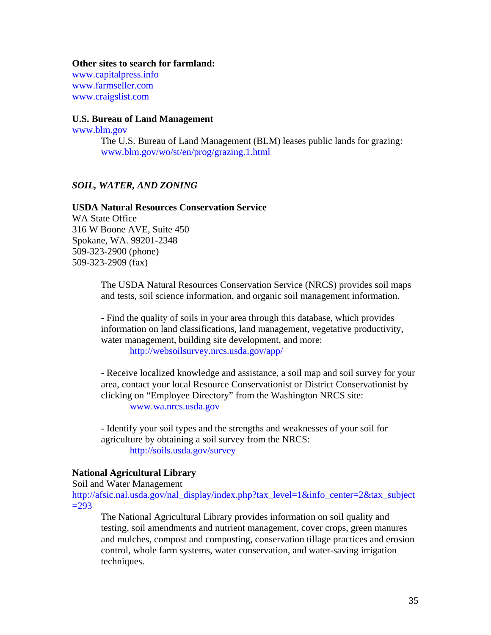#### **Other sites to search for farmland:**

[www.capitalpress.info](http://www.capitalpress.info/) [www.farmseller.com](http://www.farmseller.com/) [www.craigslist.com](http://www.craigslist.com/) 

#### **U.S. Bureau of Land Management**

[www.blm.gov](http://www.blm.gov/)

The U.S. Bureau of Land Management (BLM) leases public lands for grazing: [www.blm.gov/wo/st/en/prog/grazing.1.html](http://www.blm.gov/wo/st/en/prog/grazing.1.html)

#### *SOIL, WATER, AND ZONING*

#### **USDA Natural Resources Conservation Service**

WA State Office 316 W Boone AVE, Suite 450 Spokane, WA. 99201-2348 509-323-2900 (phone) 509-323-2909 (fax)

> The USDA Natural Resources Conservation Service (NRCS) provides soil maps and tests, soil science information, and organic soil management information.

- Find the quality of soils in your area through this database, which provides information on land classifications, land management, vegetative productivity, water management, building site development, and more:

<http://websoilsurvey.nrcs.usda.gov/app/>

- Receive localized knowledge and assistance, a soil map and soil survey for your area, contact your local Resource Conservationist or District Conservationist by clicking on "Employee Directory" from the Washington NRCS site: [www.wa.nrcs.usda.gov](http://www.wa.nrcs.usda.gov/) 

- Identify your soil types and the strengths and weaknesses of your soil for agriculture by obtaining a soil survey from the NRCS: <http://soils.usda.gov/survey>

#### **National Agricultural Library**

Soil and Water Management

[http://afsic.nal.usda.gov/nal\\_display/index.php?tax\\_level=1&info\\_center=2&tax\\_subject](http://afsic.nal.usda.gov/nal_display/index.php?tax_level=1&info_center=2&tax_subject=293)  $=293$ 

The National Agricultural Library provides information on soil quality and testing, soil amendments and nutrient management, cover crops, green manures and mulches, compost and composting, conservation tillage practices and erosion control, whole farm systems, water conservation, and water-saving irrigation techniques.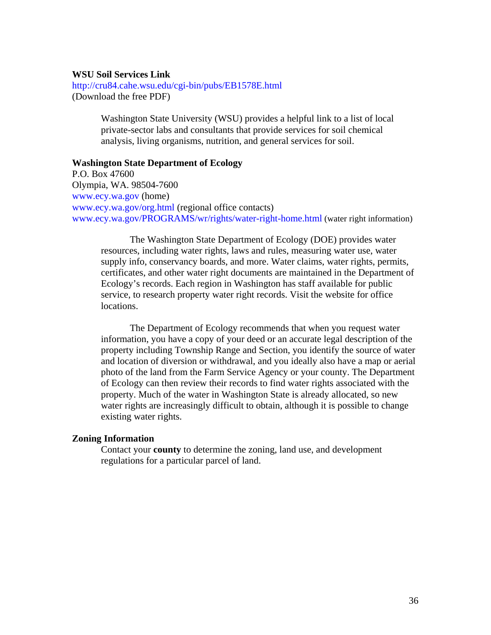#### **WSU Soil Services Link**

<http://cru84.cahe.wsu.edu/cgi-bin/pubs/EB1578E.html> (Download the free PDF)

> Washington State University (WSU) provides a helpful link to a list of local private-sector labs and consultants that provide services for soil chemical analysis, living organisms, nutrition, and general services for soil.

#### **Washington State Department of Ecology**

P.O. Box 47600 Olympia, WA. 98504-7600 [www.ecy.wa.gov](http://www.ecy.wa.gov/) (home) [www.ecy.wa.gov/org.html](http://www.ecy.wa.gov/org.html) (regional office contacts) [www.ecy.wa.gov/PROGRAMS/wr/rights/water-right-home.html](http://www.ecy.wa.gov/PROGRAMS/wr/rights/water-right-home.html) (water right information)

The Washington State Department of Ecology (DOE) provides water resources, including water rights, laws and rules, measuring water use, water supply info, conservancy boards, and more. Water claims, water rights, permits, certificates, and other water right documents are maintained in the Department of Ecology's records. Each region in Washington has staff available for public service, to research property water right records. Visit the website for office locations.

The Department of Ecology recommends that when you request water information, you have a copy of your deed or an accurate legal description of the property including Township Range and Section, you identify the source of water and location of diversion or withdrawal, and you ideally also have a map or aerial photo of the land from the Farm Service Agency or your county. The Department of Ecology can then review their records to find water rights associated with the property. Much of the water in Washington State is already allocated, so new water rights are increasingly difficult to obtain, although it is possible to change existing water rights.

#### **Zoning Information**

Contact your **county** to determine the zoning, land use, and development regulations for a particular parcel of land.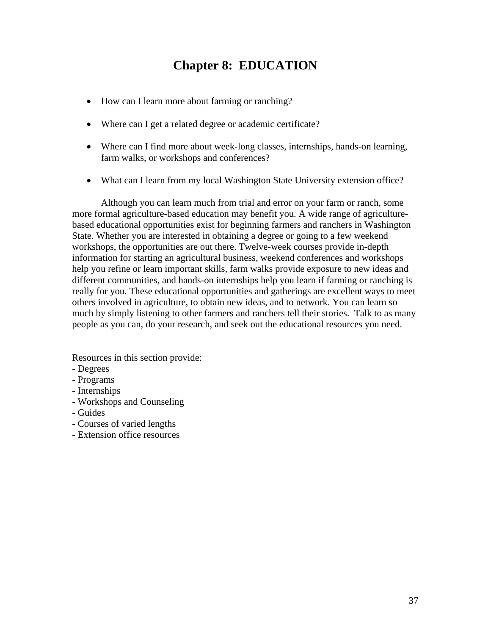# **Chapter 8: EDUCATION**

- How can I learn more about farming or ranching?
- Where can I get a related degree or academic certificate?
- Where can I find more about week-long classes, internships, hands-on learning, farm walks, or workshops and conferences?
- What can I learn from my local Washington State University extension office?

Although you can learn much from trial and error on your farm or ranch, some more formal agriculture-based education may benefit you. A wide range of agriculturebased educational opportunities exist for beginning farmers and ranchers in Washington State. Whether you are interested in obtaining a degree or going to a few weekend workshops, the opportunities are out there. Twelve-week courses provide in-depth information for starting an agricultural business, weekend conferences and workshops help you refine or learn important skills, farm walks provide exposure to new ideas and different communities, and hands-on internships help you learn if farming or ranching is really for you. These educational opportunities and gatherings are excellent ways to meet others involved in agriculture, to obtain new ideas, and to network. You can learn so much by simply listening to other farmers and ranchers tell their stories. Talk to as many people as you can, do your research, and seek out the educational resources you need.

Resources in this section provide:

- Degrees
- Programs
- Internships
- Workshops and Counseling
- Guides
- Courses of varied lengths
- Extension office resources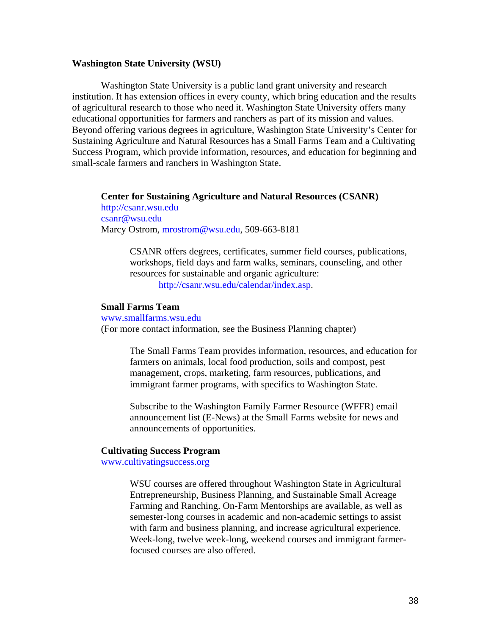## **Washington State University (WSU)**

Washington State University is a public land grant university and research institution. It has extension offices in every county, which bring education and the results of agricultural research to those who need it. Washington State University offers many educational opportunities for farmers and ranchers as part of its mission and values. Beyond offering various degrees in agriculture, Washington State University's Center for Sustaining Agriculture and Natural Resources has a Small Farms Team and a Cultivating Success Program, which provide information, resources, and education for beginning and small-scale farmers and ranchers in Washington State.

#### **Center for Sustaining Agriculture and Natural Resources (CSANR)**

[http://csanr.wsu.edu](http://csanr.wsu.edu/)  [csanr@wsu.edu](mailto:csanr@wsu.edu) Marcy Ostrom, [mrostrom@wsu.edu,](mailto:mrostrom@wsu.edu) 509-663-8181

> CSANR offers degrees, certificates, summer field courses, publications, workshops, field days and farm walks, seminars, counseling, and other resources for sustainable and organic agriculture: [http://csanr.wsu.edu/calendar/index.asp.](http://csanr.wsu.edu/calendar/index.asp)

#### **Small Farms Team**  [www.smallfarms.wsu.edu](http://www.smallfarms.wsu.edu/)

(For more contact information, see the Business Planning chapter)

The Small Farms Team provides information, resources, and education for farmers on animals, local food production, soils and compost, pest management, crops, marketing, farm resources, publications, and immigrant farmer programs, with specifics to Washington State.

Subscribe to the Washington Family Farmer Resource (WFFR) email announcement list (E-News) at the Small Farms website for news and announcements of opportunities.

#### **Cultivating Success Program**

[www.cultivatingsuccess.org](http://www.cultivatingsuccess.org/) 

WSU courses are offered throughout Washington State in Agricultural Entrepreneurship, Business Planning, and Sustainable Small Acreage Farming and Ranching. On-Farm Mentorships are available, as well as semester-long courses in academic and non-academic settings to assist with farm and business planning, and increase agricultural experience. Week-long, twelve week-long, weekend courses and immigrant farmerfocused courses are also offered.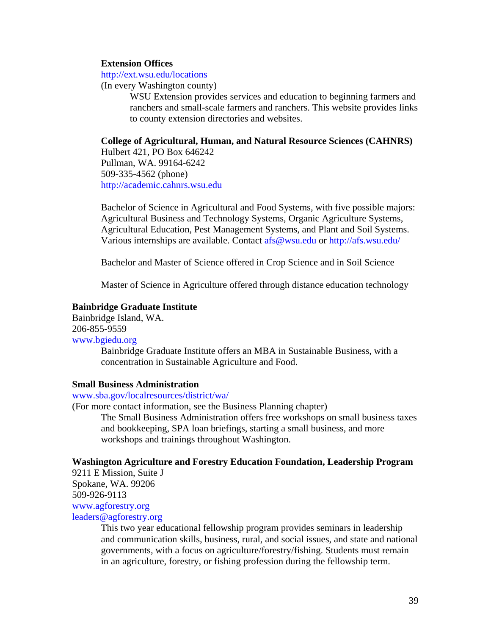### **Extension Offices**

#### <http://ext.wsu.edu/locations>

(In every Washington county)

WSU Extension provides services and education to beginning farmers and ranchers and small-scale farmers and ranchers. This website provides links to county extension directories and websites.

## **College of Agricultural, Human, and Natural Resource Sciences (CAHNRS)**

Hulbert 421, PO Box 646242 Pullman, WA. 99164-6242 509-335-4562 (phone) [http://academic.cahnrs.wsu.edu](http://academic.cahnrs.wsu.edu/) 

Bachelor of Science in Agricultural and Food Systems, with five possible majors: Agricultural Business and Technology Systems, Organic Agriculture Systems, Agricultural Education, Pest Management Systems, and Plant and Soil Systems. Various internships are available. Contact [afs@wsu.edu](mailto:afs@wsu.edu) or <http://afs.wsu.edu/>

Bachelor and Master of Science offered in Crop Science and in Soil Science

Master of Science in Agriculture offered through distance education technology

#### **Bainbridge Graduate Institute**

Bainbridge Island, WA. 206-855-9559 [www.bgiedu.org](http://www.bgiedu.org/)  Bainbridge Graduate Institute offers an MBA in Sustainable Business, with a concentration in Sustainable Agriculture and Food.

#### **Small Business Administration**

[www.sba.gov/localresources/district/wa/](http://www.sba.gov/localresources/district/wa/) 

(For more contact information, see the Business Planning chapter)

The Small Business Administration offers free workshops on small business taxes and bookkeeping, SPA loan briefings, starting a small business, and more workshops and trainings throughout Washington.

#### **Washington Agriculture and Forestry Education Foundation, Leadership Program**

9211 E Mission, Suite J Spokane, WA. 99206 509-926-9113 [www.agforestry.org](http://www.agforestry.org/) 

[leaders@agforestry.org](mailto:leaders@agforestry.org) 

This two year educational fellowship program provides seminars in leadership and communication skills, business, rural, and social issues, and state and national governments, with a focus on agriculture/forestry/fishing. Students must remain in an agriculture, forestry, or fishing profession during the fellowship term.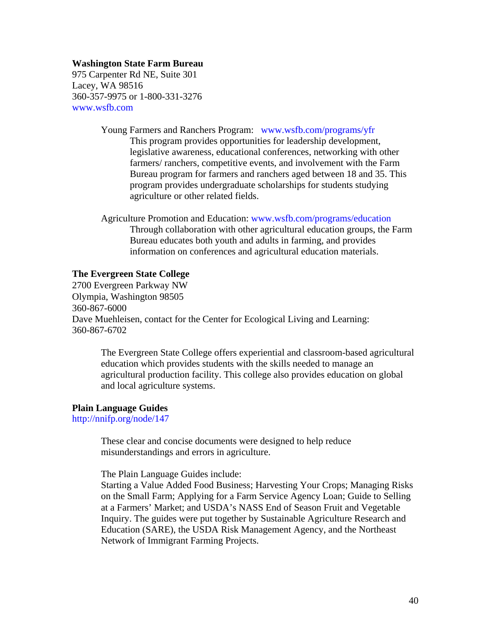## **Washington State Farm Bureau**

975 Carpenter Rd NE, Suite 301 Lacey, WA 98516 360-357-9975 or 1-800-331-3276 [www.wsfb.com](http://www.wsfb.com/) 

Young Farmers and Ranchers Program: [www.wsfb.com/programs/yfr](http://www.wsfb.com/programs/yfr)

This program provides opportunities for leadership development, legislative awareness, educational conferences, networking with other farmers/ ranchers, competitive events, and involvement with the Farm Bureau program for farmers and ranchers aged between 18 and 35. This program provides undergraduate scholarships for students studying agriculture or other related fields.

Agriculture Promotion and Education: [www.wsfb.com/programs/education](http://www.wsfb.com/programs/education) Through collaboration with other agricultural education groups, the Farm Bureau educates both youth and adults in farming, and provides information on conferences and agricultural education materials.

## **The Evergreen State College**

2700 Evergreen Parkway NW Olympia, Washington 98505 360-867-6000 Dave Muehleisen, contact for the Center for Ecological Living and Learning: 360-867-6702

The Evergreen State College offers experiential and classroom-based agricultural education which provides students with the skills needed to manage an agricultural production facility. This college also provides education on global and local agriculture systems.

#### **Plain Language Guides**

<http://nnifp.org/node/147>

These clear and concise documents were designed to help reduce misunderstandings and errors in agriculture.

The Plain Language Guides include:

Starting a Value Added Food Business; Harvesting Your Crops; Managing Risks on the Small Farm; Applying for a Farm Service Agency Loan; Guide to Selling at a Farmers' Market; and USDA's NASS End of Season Fruit and Vegetable Inquiry. The guides were put together by Sustainable Agriculture Research and Education (SARE), the USDA Risk Management Agency, and the Northeast Network of Immigrant Farming Projects.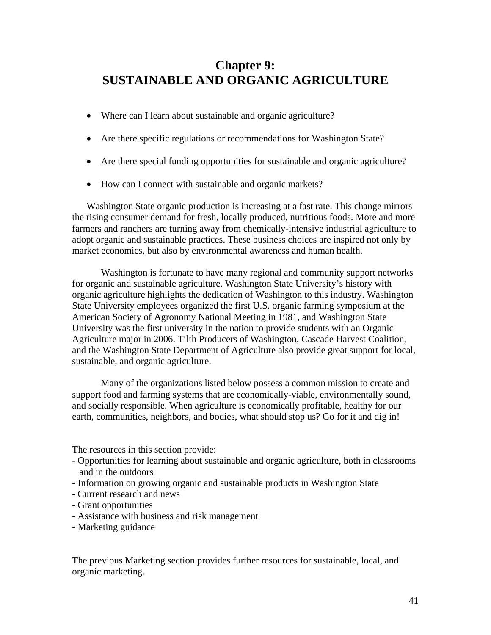# **Chapter 9: SUSTAINABLE AND ORGANIC AGRICULTURE**

- Where can I learn about sustainable and organic agriculture?
- Are there specific regulations or recommendations for Washington State?
- Are there special funding opportunities for sustainable and organic agriculture?
- How can I connect with sustainable and organic markets?

Washington State organic production is increasing at a fast rate. This change mirrors the rising consumer demand for fresh, locally produced, nutritious foods. More and more farmers and ranchers are turning away from chemically-intensive industrial agriculture to adopt organic and sustainable practices. These business choices are inspired not only by market economics, but also by environmental awareness and human health.

Washington is fortunate to have many regional and community support networks for organic and sustainable agriculture. Washington State University's history with organic agriculture highlights the dedication of Washington to this industry. Washington State University employees organized the first U.S. organic farming symposium at the American Society of Agronomy National Meeting in 1981, and Washington State University was the first university in the nation to provide students with an Organic Agriculture major in 2006. Tilth Producers of Washington, Cascade Harvest Coalition, and the Washington State Department of Agriculture also provide great support for local, sustainable, and organic agriculture.

Many of the organizations listed below possess a common mission to create and support food and farming systems that are economically-viable, environmentally sound, and socially responsible. When agriculture is economically profitable, healthy for our earth, communities, neighbors, and bodies, what should stop us? Go for it and dig in!

The resources in this section provide:

- Opportunities for learning about sustainable and organic agriculture, both in classrooms and in the outdoors
- Information on growing organic and sustainable products in Washington State
- Current research and news
- Grant opportunities
- Assistance with business and risk management
- Marketing guidance

The previous Marketing section provides further resources for sustainable, local, and organic marketing.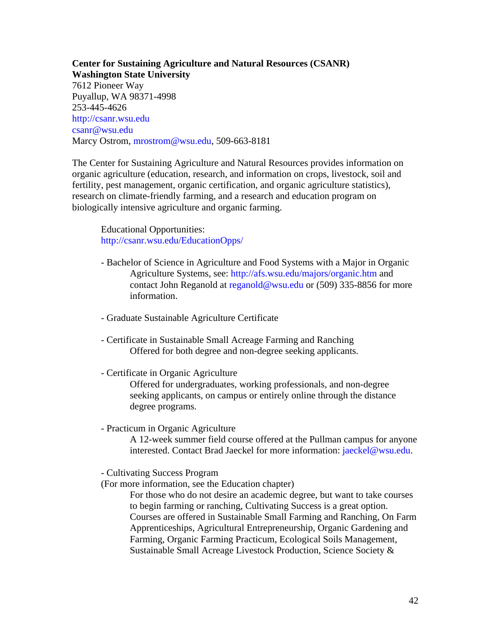**Center for Sustaining Agriculture and Natural Resources (CSANR) Washington State University**  7612 Pioneer Way Puyallup, WA 98371-4998 253-445-4626 [http://csanr.wsu.edu](http://csanr.wsu.edu/)  [csanr@wsu.edu](mailto:csanr@wsu.edu) Marcy Ostrom, [mrostrom@wsu.edu,](mailto:mrostrom@wsu.edu) 509-663-8181

The Center for Sustaining Agriculture and Natural Resources provides information on organic agriculture (education, research, and information on crops, livestock, soil and fertility, pest management, organic certification, and organic agriculture statistics), research on climate-friendly farming, and a research and education program on biologically intensive agriculture and organic farming.

 Educational Opportunities: <http://csanr.wsu.edu/EducationOpps/>

- Bachelor of Science in Agriculture and Food Systems with a Major in Organic Agriculture Systems, see:<http://afs.wsu.edu/majors/organic.htm> and contact [John Reganold](mailto:reganold@wsu.edu) at [reganold@wsu.edu](mailto:reganold@wsu.edu) or (509) 335-8856 for more information.
- Graduate Sustainable Agriculture Certificate
- Certificate in Sustainable Small Acreage Farming and Ranching Offered for both degree and non-degree seeking applicants.
- Certificate in Organic Agriculture

Offered for undergraduates, working professionals, and non-degree seeking applicants, on campus or entirely online through the distance degree programs.

- Practicum in Organic Agriculture

A 12-week summer field course offered at the Pullman campus for anyone interested. Contact Brad Jaeckel for more information: [jaeckel@wsu.edu.](mailto:jaeckel@wsu.edu)

- Cultivating Success Program
- (For more information, see the Education chapter)

For those who do not desire an academic degree, but want to take courses to begin farming or ranching, Cultivating Success is a great option. Courses are offered in Sustainable Small Farming and Ranching, On Farm Apprenticeships, Agricultural Entrepreneurship, Organic Gardening and Farming, Organic Farming Practicum, Ecological Soils Management, Sustainable Small Acreage Livestock Production, Science Society &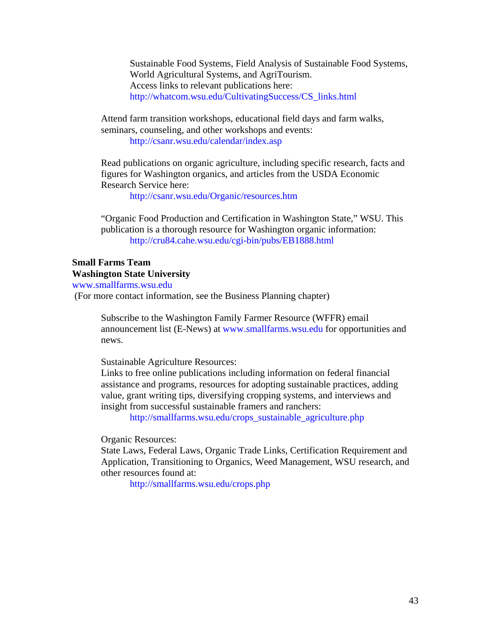Sustainable Food Systems, Field Analysis of Sustainable Food Systems, World Agricultural Systems, and AgriTourism. Access links to relevant publications here: [http://whatcom.wsu.edu/CultivatingSuccess/CS\\_links.html](http://whatcom.wsu.edu/CultivatingSuccess/CS_links.html)

Attend farm transition workshops, educational field days and farm walks, seminars, counseling, and other workshops and events: <http://csanr.wsu.edu/calendar/index.asp>

Read publications on organic agriculture, including specific research, facts and figures for Washington organics, and articles from the USDA Economic Research Service here:

<http://csanr.wsu.edu/Organic/resources.htm>

"Organic Food Production and Certification in Washington State," WSU. This publication is a thorough resource for Washington organic information: <http://cru84.cahe.wsu.edu/cgi-bin/pubs/EB1888.html>

## **Small Farms Team Washington State University**

[www.smallfarms.wsu.edu](http://www.smallfarms.wsu.edu/) 

(For more contact information, see the Business Planning chapter)

Subscribe to the Washington Family Farmer Resource (WFFR) email announcement list (E-News) at [www.smallfarms.wsu.edu](http://www.smallfarms.wsu.edu/) for opportunities and news.

Sustainable Agriculture Resources:

Links to free online publications including information on federal financial assistance and programs, resources for adopting sustainable practices, adding value, grant writing tips, diversifying cropping systems, and interviews and insight from successful sustainable framers and ranchers:

[http://smallfarms.wsu.edu/crops\\_sustainable\\_agriculture.php](http://smallfarms.wsu.edu/crops_sustainable_agriculture.php) 

Organic Resources:

State Laws, Federal Laws, Organic Trade Links, Certification Requirement and Application, Transitioning to Organics, Weed Management, WSU research, and other resources found at:

<http://smallfarms.wsu.edu/crops.php>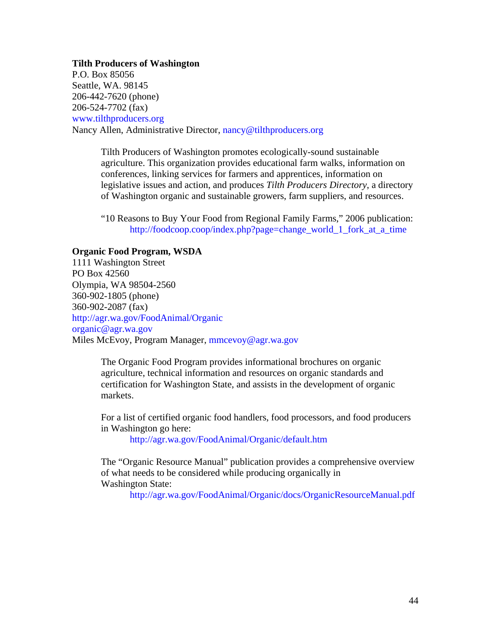## **Tilth Producers of Washington**

P.O. Box 85056 Seattle, WA. 98145 206-442-7620 (phone) 206-524-7702 (fax) [www.tilthproducers.org](http://www.tilthproducers.org/)  Nancy Allen, Administrative Director, [nancy@tilthproducers.org](mailto:nancy@tilthproducers.org)

> Tilth Producers of Washington promotes ecologically-sound sustainable agriculture. This organization provides educational farm walks, information on conferences, linking services for farmers and apprentices, information on legislative issues and action, and produces *Tilth Producers Directory*, a directory of Washington organic and sustainable growers, farm suppliers, and resources.

> "10 Reasons to Buy Your Food from Regional Family Farms," 2006 publication: [http://foodcoop.coop/index.php?page=change\\_world\\_1\\_fork\\_at\\_a\\_time](http://foodcoop.coop/index.php?page=change_world_1_fork_at_a_time)

## **Organic Food Program, WSDA**

1111 Washington Street PO Box 42560 Olympia, WA 98504-2560 360-902-1805 (phone) 360-902-2087 (fax) <http://agr.wa.gov/FoodAnimal/Organic> [organic@agr.wa.gov](mailto:organic@agr.wa.gov)  Miles McEvoy, Program Manager, [mmcevoy@agr.wa.gov](mailto:mmcevoy@agr.wa.gov)

> The Organic Food Program provides informational brochures on organic agriculture, technical information and resources on organic standards and certification for Washington State, and assists in the development of organic markets.

For a list of certified organic food handlers, food processors, and food producers in Washington go here:

<http://agr.wa.gov/FoodAnimal/Organic/default.htm>

The "Organic Resource Manual" publication provides a comprehensive overview of what needs to be considered while producing organically in Washington State:

<http://agr.wa.gov/FoodAnimal/Organic/docs/OrganicResourceManual.pdf>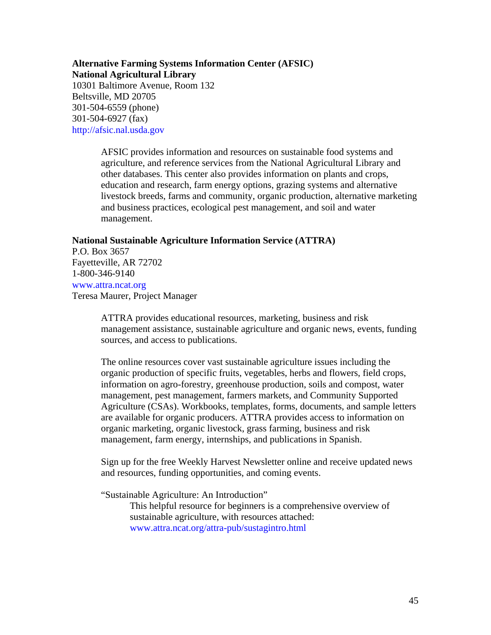## **Alternative Farming Systems Information Center (AFSIC) National Agricultural Library**

10301 Baltimore Avenue, Room 132 Beltsville, MD 20705 301-504-6559 (phone) 301-504-6927 (fax) [http://afsic.nal.usda.gov](http://afsic.nal.usda.gov/) 

> AFSIC provides information and resources on sustainable food systems and agriculture, and reference services from the National Agricultural Library and other databases. This center also provides information on plants and crops, education and research, farm energy options, grazing systems and alternative livestock breeds, farms and community, organic production, alternative marketing and business practices, ecological pest management, and soil and water management.

## **National Sustainable Agriculture Information Service (ATTRA)**

P.O. Box 3657 Fayetteville, AR 72702 1-800-346-9140 [www.attra.ncat.org](http://www.attra.ncat.org/)  Teresa Maurer, Project Manager

> ATTRA provides educational resources, marketing, business and risk management assistance, sustainable agriculture and organic news, events, funding sources, and access to publications.

> The online resources cover vast sustainable agriculture issues including the organic production of specific fruits, vegetables, herbs and flowers, field crops, information on agro-forestry, greenhouse production, soils and compost, water management, pest management, farmers markets, and Community Supported Agriculture (CSAs). Workbooks, templates, forms, documents, and sample letters are available for organic producers. ATTRA provides access to information on organic marketing, organic livestock, grass farming, business and risk management, farm energy, internships, and publications in Spanish.

Sign up for the free Weekly Harvest Newsletter online and receive updated news and resources, funding opportunities, and coming events.

"Sustainable Agriculture: An Introduction"

This helpful resource for beginners is a comprehensive overview of sustainable agriculture, with resources attached: [www.attra.ncat.org/attra-pub/sustagintro.html](http://www.attra.ncat.org/attra-pub/sustagintro.html)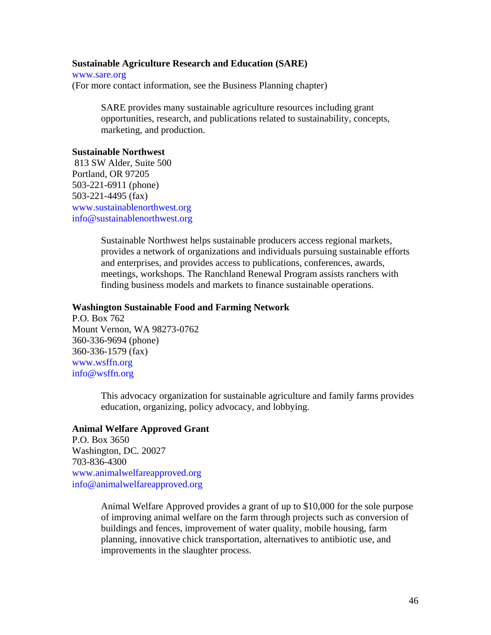## **Sustainable Agriculture Research and Education (SARE)**

[www.sare.org](http://www.sare.org/) (For more contact information, see the Business Planning chapter)

> SARE provides many sustainable agriculture resources including grant opportunities, research, and publications related to sustainability, concepts, marketing, and production.

## **Sustainable Northwest**

 813 SW Alder, Suite 500 Portland, OR 97205 503-221-6911 (phone) 503-221-4495 (fax) [www.sustainablenorthwest.org](http://www.sustainablenorthwest.org/)  [info@sustainablenorthwest.org](mailto:info@sustainablenorthwest.org)

> Sustainable Northwest helps sustainable producers access regional markets, provides a network of organizations and individuals pursuing sustainable efforts and enterprises, and provides access to publications, conferences, awards, meetings, workshops. The Ranchland Renewal Program assists ranchers with finding business models and markets to finance sustainable operations.

## **Washington Sustainable Food and Farming Network**

P.O. Box 762 Mount Vernon, WA 98273-0762 360-336-9694 (phone) 360-336-1579 (fax) [www.wsffn.org](http://www.wsffn.org/)  [info@wsffn.org](mailto:info@wsffn.org) 

> This advocacy organization for sustainable agriculture and family farms provides education, organizing, policy advocacy, and lobbying.

## **Animal Welfare Approved Grant**

P.O. Box 3650 Washington, DC. 20027 703-836-4300 [www.animalwelfareapproved.org](http://www.animalwelfareapproved.org/)  [info@animalwelfareapproved.org](mailto:info@animalwelfareapproved.org) 

> Animal Welfare Approved provides a grant of up to \$10,000 for the sole purpose of improving animal welfare on the farm through projects such as conversion of buildings and fences, improvement of water quality, mobile housing, farm planning, innovative chick transportation, alternatives to antibiotic use, and improvements in the slaughter process.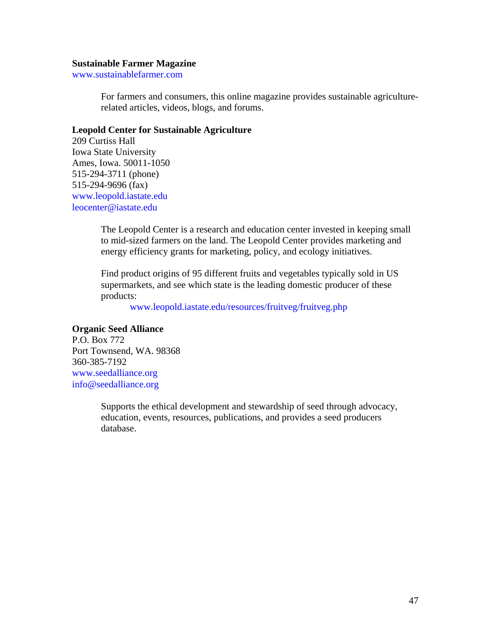#### **Sustainable Farmer Magazine**

[www.sustainablefarmer.com](http://www.sustainablefarmer.com/) 

For farmers and consumers, this online magazine provides sustainable agriculturerelated articles, videos, blogs, and forums.

### **Leopold Center for Sustainable Agriculture**

209 Curtiss Hall Iowa State University Ames, Iowa. 50011-1050 515-294-3711 (phone) 515-294-9696 (fax) [www.leopold.iastate.edu](http://www.leopold.iastate.edu/)  [leocenter@iastate.edu](mailto:leocenter@iastate.edu) 

> The Leopold Center is a research and education center invested in keeping small to mid-sized farmers on the land. The Leopold Center provides marketing and energy efficiency grants for marketing, policy, and ecology initiatives.

Find product origins of 95 different fruits and vegetables typically sold in US supermarkets, and see which state is the leading domestic producer of these products:

[www.leopold.iastate.edu/resources/fruitveg/fruitveg.php](http://www.leopold.iastate.edu/resources/fruitveg/fruitveg.php) 

## **Organic Seed Alliance**

P.O. Box 772 Port Townsend, WA. 98368 360-385-7192 [www.seedalliance.org](http://www.seedalliance.org/)  [info@seedalliance.org](mailto:info@seedalliance.org) 

> Supports the ethical development and stewardship of seed through advocacy, education, events, resources, publications, and provides a seed producers database.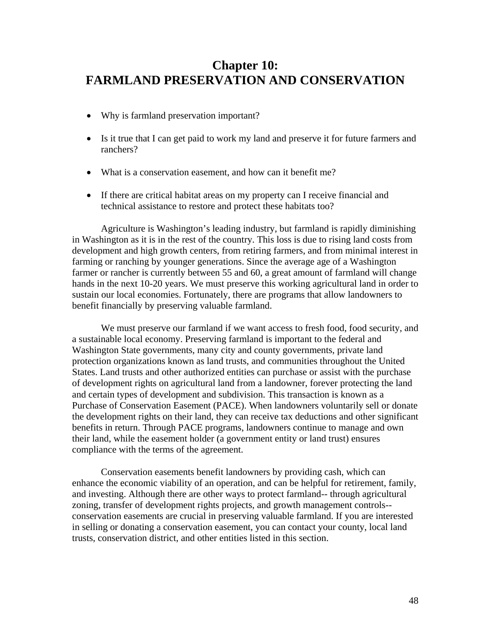## **Chapter 10: FARMLAND PRESERVATION AND CONSERVATION**

- Why is farmland preservation important?
- Is it true that I can get paid to work my land and preserve it for future farmers and ranchers?
- What is a conservation easement, and how can it benefit me?
- If there are critical habitat areas on my property can I receive financial and technical assistance to restore and protect these habitats too?

Agriculture is Washington's leading industry, but farmland is rapidly diminishing in Washington as it is in the rest of the country. This loss is due to rising land costs from development and high growth centers, from retiring farmers, and from minimal interest in farming or ranching by younger generations. Since the average age of a Washington farmer or rancher is currently between 55 and 60, a great amount of farmland will change hands in the next 10-20 years. We must preserve this working agricultural land in order to sustain our local economies. Fortunately, there are programs that allow landowners to benefit financially by preserving valuable farmland.

We must preserve our farmland if we want access to fresh food, food security, and a sustainable local economy. Preserving farmland is important to the federal and Washington State governments, many city and county governments, private land protection organizations known as land trusts, and communities throughout the United States. Land trusts and other authorized entities can purchase or assist with the purchase of development rights on agricultural land from a landowner, forever protecting the land and certain types of development and subdivision. This transaction is known as a Purchase of Conservation Easement (PACE). When landowners voluntarily sell or donate the development rights on their land, they can receive tax deductions and other significant benefits in return. Through PACE programs, landowners continue to manage and own their land, while the easement holder (a government entity or land trust) ensures compliance with the terms of the agreement.

Conservation easements benefit landowners by providing cash, which can enhance the economic viability of an operation, and can be helpful for retirement, family, and investing. Although there are other ways to protect farmland-- through agricultural zoning, transfer of development rights projects, and growth management controls- conservation easements are crucial in preserving valuable farmland. If you are interested in selling or donating a conservation easement, you can contact your county, local land trusts, conservation district, and other entities listed in this section.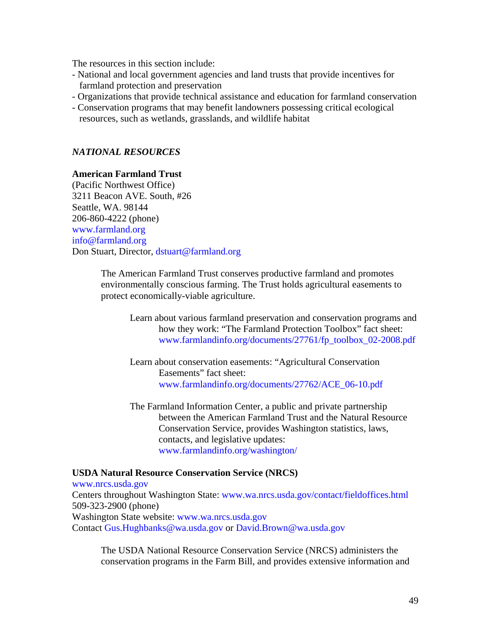The resources in this section include:

- National and local government agencies and land trusts that provide incentives for farmland protection and preservation
- Organizations that provide technical assistance and education for farmland conservation
- Conservation programs that may benefit landowners possessing critical ecological resources, such as wetlands, grasslands, and wildlife habitat

## *NATIONAL RESOURCES*

## **American Farmland Trust**

(Pacific Northwest Office) 3211 Beacon AVE. South, #26 Seattle, WA. 98144 206-860-4222 (phone) [www.farmland.org](http://www.farmland.org/)  [info@farmland.org](mailto:info@farmland.org)  Don Stuart, Director, [dstuart@farmland.org](mailto:dstuart@farmland.org)

> The American Farmland Trust conserves productive farmland and promotes environmentally conscious farming. The Trust holds agricultural easements to protect economically-viable agriculture.

Learn about various farmland preservation and conservation programs and how they work: "The Farmland Protection Toolbox" fact sheet: [www.farmlandinfo.org/documents/27761/fp\\_toolbox\\_02-2008.pdf](http://www.farmlandinfo.org/documents/27761/fp_toolbox_02-2008.pdf) 

Learn about conservation easements: "Agricultural Conservation Easements" fact sheet: [www.farmlandinfo.org/documents/27762/ACE\\_06-10.pdf](http://www.farmlandinfo.org/documents/27762/ACE_06-10.pdf) 

The Farmland Information Center, a public and private partnership between the American Farmland Trust and the Natural Resource Conservation Service, provides Washington statistics, laws, contacts, and legislative updates: [www.farmlandinfo.org/washington/](http://www.farmlandinfo.org/washington/)

## **USDA Natural Resource Conservation Service (NRCS)**

[www.nrcs.usda.gov](http://www.nrcs.usda.gov/)  Centers throughout Washington State: [www.wa.nrcs.usda.gov/contact/fieldoffices.html](http://www.wa.nrcs.usda.gov/contact/fieldoffices.html) 509-323-2900 (phone) Washington State website: [www.wa.nrcs.usda.gov](http://www.wa.nrcs.usda.gov/) Contact [Gus.Hughbanks@wa.usda.gov](mailto:Gus.Hughbanks@wa.usda.gov) or [David.Brown@wa.usda.gov](mailto:David.Brown@wa.usda.gov)

The USDA National Resource Conservation Service (NRCS) administers the conservation programs in the Farm Bill, and provides extensive information and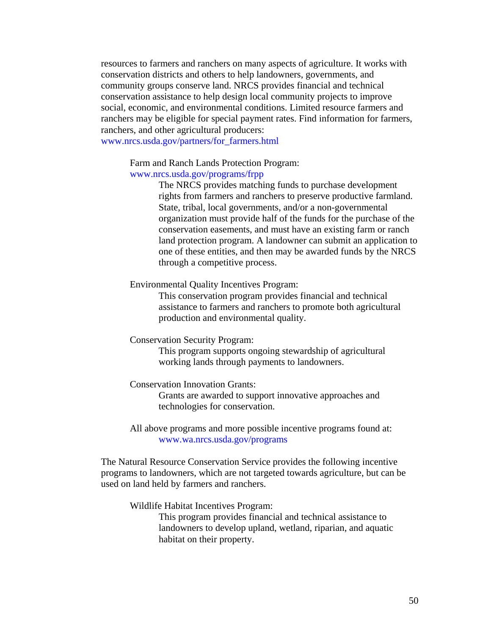resources to farmers and ranchers on many aspects of agriculture. It works with conservation districts and others to help landowners, governments, and community groups conserve land. NRCS provides financial and technical conservation assistance to help design local community projects to improve social, economic, and environmental conditions. Limited resource farmers and ranchers may be eligible for special payment rates. Find information for farmers, ranchers, and other agricultural producers:

[www.nrcs.usda.gov/partners/for\\_farmers.html](http://www.nrcs.usda.gov/partners/for_farmers.html) 

Farm and Ranch Lands Protection Program:

## [www.nrcs.usda.gov/programs/frpp](http://www.nrcs.usda.gov/programs/frpp)

The NRCS provides matching funds to purchase development rights from farmers and ranchers to preserve productive farmland. State, tribal, local governments, and/or a non-governmental organization must provide half of the funds for the purchase of the conservation easements, and must have an existing farm or ranch land protection program. A landowner can submit an application to one of these entities, and then may be awarded funds by the NRCS through a competitive process.

#### Environmental Quality Incentives Program:

This conservation program provides financial and technical assistance to farmers and ranchers to promote both agricultural production and environmental quality.

Conservation Security Program:

This program supports ongoing stewardship of agricultural working lands through payments to landowners.

Conservation Innovation Grants:

Grants are awarded to support innovative approaches and technologies for conservation.

All above programs and more possible incentive programs found at: [www.wa.nrcs.usda.gov/programs](http://www.wa.nrcs.usda.gov/programs) 

The Natural Resource Conservation Service provides the following incentive programs to landowners, which are not targeted towards agriculture, but can be used on land held by farmers and ranchers.

Wildlife Habitat Incentives Program:

This program provides financial and technical assistance to landowners to develop upland, wetland, riparian, and aquatic habitat on their property.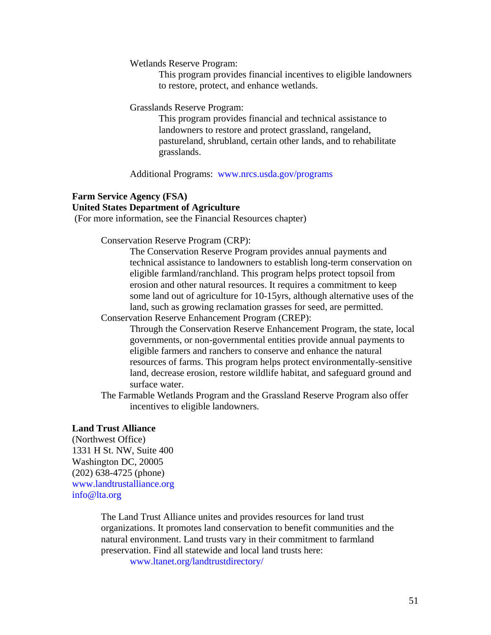Wetlands Reserve Program:

This program provides financial incentives to eligible landowners to restore, protect, and enhance wetlands.

Grasslands Reserve Program:

This program provides financial and technical assistance to landowners to restore and protect grassland, rangeland, pastureland, shrubland, certain other lands, and to rehabilitate grasslands.

Additional Programs: [www.nrcs.usda.gov/programs](http://www.nrcs.usda.gov/programs)

## **Farm Service Agency (FSA) United States Department of Agriculture**

(For more information, see the Financial Resources chapter)

Conservation Reserve Program (CRP):

The Conservation Reserve Program provides annual payments and technical assistance to landowners to establish long-term conservation on eligible farmland/ranchland. This program helps protect topsoil from erosion and other natural resources. It requires a commitment to keep some land out of agriculture for 10-15yrs, although alternative uses of the land, such as growing reclamation grasses for seed, are permitted.

Conservation Reserve Enhancement Program (CREP):

Through the Conservation Reserve Enhancement Program, the state, local governments, or non-governmental entities provide annual payments to eligible farmers and ranchers to conserve and enhance the natural resources of farms. This program helps protect environmentally-sensitive land, decrease erosion, restore wildlife habitat, and safeguard ground and surface water.

The Farmable Wetlands Program and the Grassland Reserve Program also offer incentives to eligible landowners.

## **Land Trust Alliance**

(Northwest Office) 1331 H St. NW, Suite 400 Washington DC, 20005 (202) 638-4725 (phone) [www.landtrustalliance.org](http://www.landtrustalliance.org/)  [info@lta.org](mailto:info@lta.org) 

> The Land Trust Alliance unites and provides resources for land trust organizations. It promotes land conservation to benefit communities and the natural environment. Land trusts vary in their commitment to farmland preservation. Find all statewide and local land trusts here:

> > [www.ltanet.org/landtrustdirectory/](http://www.ltanet.org/landtrustdirectory/)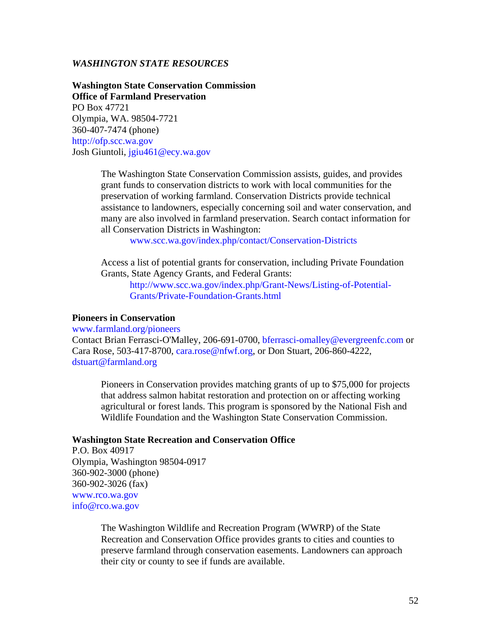## *WASHINGTON STATE RESOURCES*

**Washington State Conservation Commission Office of Farmland Preservation**  PO Box 47721 Olympia, WA. 98504-7721 360-407-7474 (phone) [http://ofp.scc.wa.gov](http://ofp.scc.wa.gov/)  Josh Giuntoli, [jgiu461@ecy.wa.gov](mailto:jgiu461@ecy.wa.gov) 

> The Washington State Conservation Commission assists, guides, and provides grant funds to conservation districts to work with local communities for the preservation of working farmland. Conservation Districts provide technical assistance to landowners, especially concerning soil and water conservation, and many are also involved in farmland preservation. Search contact information for all Conservation Districts in Washington:

[www.scc.wa.gov/index.php/contact/Conservation-Districts](http://www.scc.wa.gov/index.php/contact/Conservation-Districts)

Access a list of potential grants for conservation, including Private Foundation Grants, State Agency Grants, and Federal Grants:

[http://www.scc.wa.gov/index.php/Grant-News/Listing-of-Potential-](http://www.scc.wa.gov/index.php/Grant-News/Listing-of-Potential-Grants/Private-Foundation-Grants.html)  [Grants/Private-Foundation-Grants.html](http://www.scc.wa.gov/index.php/Grant-News/Listing-of-Potential-Grants/Private-Foundation-Grants.html) 

## **Pioneers in Conservation**

[www.farmland.org/pioneers](http://www.farmland.org/pioneers) 

Contact Brian Ferrasci-O'Malley, 206-691-0700, [bferrasci-omalley@evergreenfc.com](mailto:bferrasci-omalley@evergreenfc.com) or Cara Rose, 503-417-8700, [cara.rose@nfwf.org](mailto:cara.rose@nfwf.org), or Don Stuart, 206-860-4222, [dstuart@farmland.org](mailto:dstuart@farmland.org)

Pioneers in Conservation provides matching grants of up to \$75,000 for projects that address salmon habitat restoration and protection on or affecting working agricultural or forest lands. This program is sponsored by the National Fish and Wildlife Foundation and the Washington State Conservation Commission.

## **Washington State Recreation and Conservation Office**

P.O. Box 40917 Olympia, Washington 98504-0917 360-902-3000 (phone) 360-902-3026 (fax) [www.rco.wa.gov](http://www.rco.wa.gov/)  [info@rco.wa.gov](mailto:info@rco.wa.gov) 

> The Washington Wildlife and Recreation Program (WWRP) of the State Recreation and Conservation Office provides grants to cities and counties to preserve farmland through conservation easements. Landowners can approach their city or county to see if funds are available.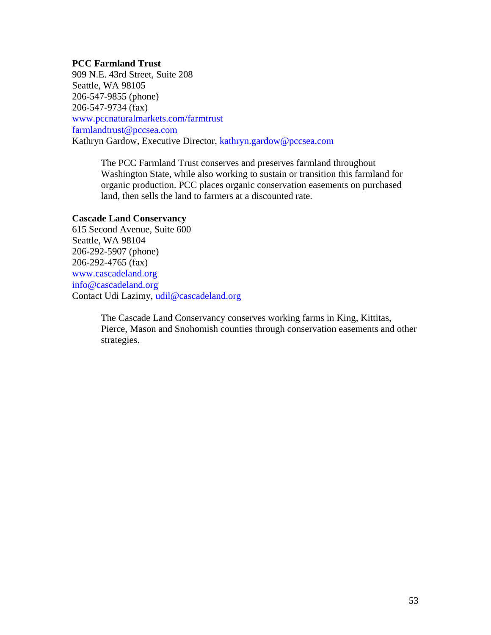## **PCC Farmland Trust**

909 N.E. 43rd Street, Suite 208 Seattle, WA 98105 206-547-9855 (phone) 206-547-9734 (fax) [www.pccnaturalmarkets.com/farmtrust](http://www.pccnaturalmarkets.com/farmtrust) [farmlandtrust@pccsea.com](mailto:farmlandtrust@pccsea.com) Kathryn Gardow, Executive Director, [kathryn.gardow@pccsea.com](mailto:kathryn.gardow@pccsea.com)

> The PCC Farmland Trust conserves and preserves farmland throughout Washington State, while also working to sustain or transition this farmland for organic production. PCC places organic conservation easements on purchased land, then sells the land to farmers at a discounted rate.

## **Cascade Land Conservancy**

615 Second Avenue, Suite 600 Seattle, WA 98104 206-292-5907 (phone) 206-292-4765 (fax) [www.cascadeland.org](http://www.cascadeland.org/)  [info@cascadeland.org](mailto:info@cascadeland.org)  Contact Udi Lazimy, [udil@cascadeland.org](mailto:udil@cascadeland.org) 

> The Cascade Land Conservancy conserves working farms in King, Kittitas, Pierce, Mason and Snohomish counties through conservation easements and other strategies.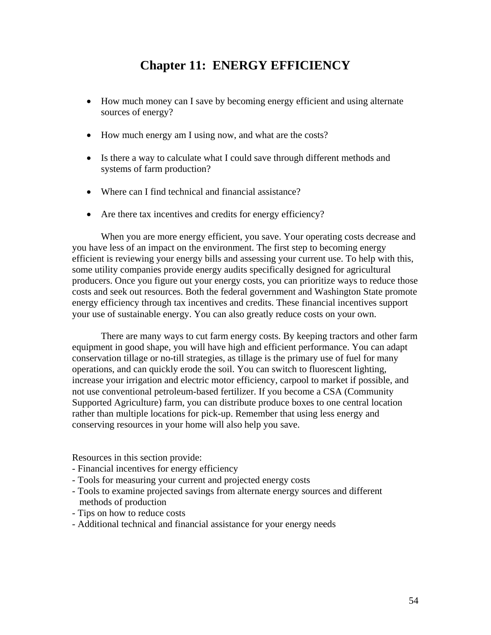## **Chapter 11: ENERGY EFFICIENCY**

- How much money can I save by becoming energy efficient and using alternate sources of energy?
- How much energy am I using now, and what are the costs?
- Is there a way to calculate what I could save through different methods and systems of farm production?
- Where can I find technical and financial assistance?
- Are there tax incentives and credits for energy efficiency?

When you are more energy efficient, you save. Your operating costs decrease and you have less of an impact on the environment. The first step to becoming energy efficient is reviewing your energy bills and assessing your current use. To help with this, some utility companies provide energy audits specifically designed for agricultural producers. Once you figure out your energy costs, you can prioritize ways to reduce those costs and seek out resources. Both the federal government and Washington State promote energy efficiency through tax incentives and credits. These financial incentives support your use of sustainable energy. You can also greatly reduce costs on your own.

There are many ways to cut farm energy costs. By keeping tractors and other farm equipment in good shape, you will have high and efficient performance. You can adapt conservation tillage or no-till strategies, as tillage is the primary use of fuel for many operations, and can quickly erode the soil. You can switch to fluorescent lighting, increase your irrigation and electric motor efficiency, carpool to market if possible, and not use conventional petroleum-based fertilizer. If you become a CSA (Community Supported Agriculture) farm, you can distribute produce boxes to one central location rather than multiple locations for pick-up. Remember that using less energy and conserving resources in your home will also help you save.

Resources in this section provide:

- Financial incentives for energy efficiency
- Tools for measuring your current and projected energy costs
- Tools to examine projected savings from alternate energy sources and different methods of production
- Tips on how to reduce costs
- Additional technical and financial assistance for your energy needs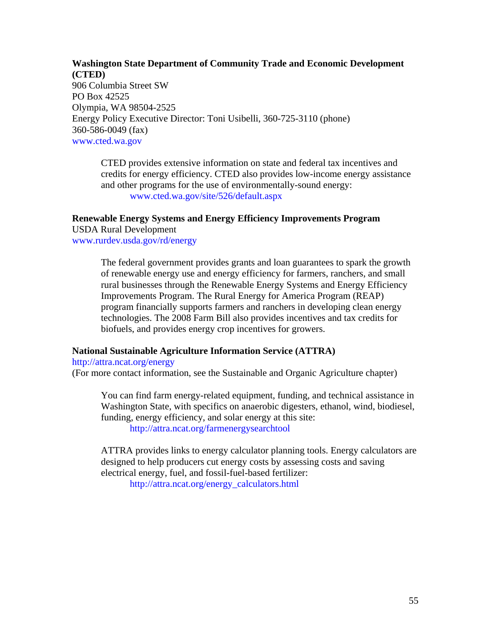## **Washington State Department of Community Trade and Economic Development (CTED)**  906 Columbia Street SW PO Box 42525 Olympia, WA 98504-2525 Energy Policy Executive Director: Toni Usibelli, 360-725-3110 (phone) 360-586-0049 (fax)

[www.cted.wa.gov](http://www.cted.wa.gov/) 

CTED provides extensive information on state and federal tax incentives and credits for energy efficiency. CTED also provides low-income energy assistance and other programs for the use of environmentally-sound energy: [www.cted.wa.gov/site/526/default.aspx](http://www.cted.wa.gov/site/526/default.aspx)

## **Renewable Energy Systems and Energy Efficiency Improvements Program**

USDA Rural Development [www.rurdev.usda.gov/rd/energy](http://www.rurdev.usda.gov/rd/energy)

> The federal government provides grants and loan guarantees to spark the growth of renewable energy use and energy efficiency for farmers, ranchers, and small rural businesses through the Renewable Energy Systems and Energy Efficiency Improvements Program. The Rural Energy for America Program (REAP) program financially supports farmers and ranchers in developing clean energy technologies. The 2008 Farm Bill also provides incentives and tax credits for biofuels, and provides energy crop incentives for growers.

## **National Sustainable Agriculture Information Service (ATTRA)**

<http://attra.ncat.org/energy>

(For more contact information, see the Sustainable and Organic Agriculture chapter)

You can find farm energy-related equipment, funding, and technical assistance in Washington State, with specifics on anaerobic digesters, ethanol, wind, biodiesel, funding, energy efficiency, and solar energy at this site:

<http://attra.ncat.org/farmenergysearchtool>

ATTRA provides links to energy calculator planning tools. Energy calculators are designed to help producers cut energy costs by assessing costs and saving electrical energy, fuel, and fossil-fuel-based fertilizer:

[http://attra.ncat.org/energy\\_calculators.html](http://attra.ncat.org/energy_calculators.html)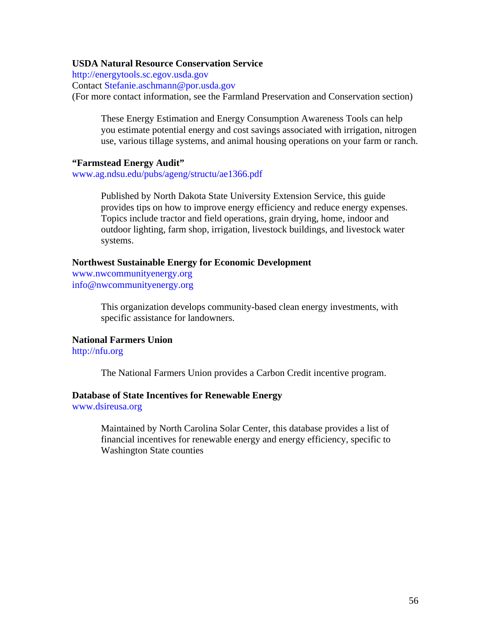## **USDA Natural Resource Conservation Service**

[http://energytools.sc.egov.usda.gov](http://energytools.sc.egov.usda.gov/)

Contact [Stefanie.aschmann@por.usda.gov](mailto:Stefanie.aschmann@por.usda.gov)

(For more contact information, see the Farmland Preservation and Conservation section)

These Energy Estimation and Energy Consumption Awareness Tools can help you estimate potential energy and cost savings associated with irrigation, nitrogen use, various tillage systems, and animal housing operations on your farm or ranch.

## **"Farmstead Energy Audit"**

[www.ag.ndsu.edu/pubs/ageng/structu/ae1366.pdf](http://www.ag.ndsu.edu/pubs/ageng/structu/ae1366.pdf) 

Published by North Dakota State University Extension Service, this guide provides tips on how to improve energy efficiency and reduce energy expenses. Topics include tractor and field operations, grain drying, home, indoor and outdoor lighting, farm shop, irrigation, livestock buildings, and livestock water systems.

## **Northwest Sustainable Energy for Economic Development**

[www.nwcommunityenergy.org](http://www.nwcommunityenergy.org/)  [info@nwcommunityenergy.org](mailto:info@nwcommunityenergy.org) 

> This organization develops community-based clean energy investments, with specific assistance for landowners.

## **National Farmers Union**

[http://nfu.org](http://nfu.org/) 

The National Farmers Union provides a Carbon Credit incentive program.

## **Database of State Incentives for Renewable Energy**

[www.dsireusa.org](http://www.dsireusa.org/) 

Maintained by North Carolina Solar Center, this database provides a list of financial incentives for renewable energy and energy efficiency, specific to Washington State counties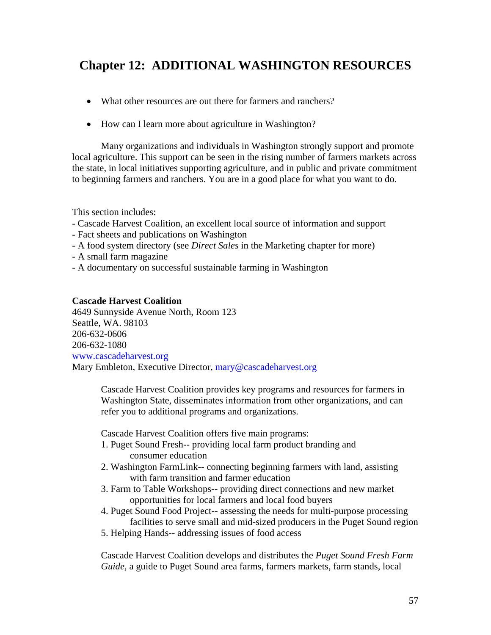# **Chapter 12: ADDITIONAL WASHINGTON RESOURCES**

- What other resources are out there for farmers and ranchers?
- How can I learn more about agriculture in Washington?

Many organizations and individuals in Washington strongly support and promote local agriculture. This support can be seen in the rising number of farmers markets across the state, in local initiatives supporting agriculture, and in public and private commitment to beginning farmers and ranchers. You are in a good place for what you want to do.

This section includes:

- Cascade Harvest Coalition, an excellent local source of information and support
- Fact sheets and publications on Washington
- A food system directory (see *Direct Sales* in the Marketing chapter for more)
- A small farm magazine
- A documentary on successful sustainable farming in Washington

## **Cascade Harvest Coalition**

4649 Sunnyside Avenue North, Room 123 Seattle, WA. 98103 206-632-0606 206-632-1080 [www.cascadeharvest.org](http://www.cascadeharvest.org/)  Mary Embleton, Executive Director, [mary@cascadeharvest.org](mailto:mary@cascadeharvest.org)

> Cascade Harvest Coalition provides key programs and resources for farmers in Washington State, disseminates information from other organizations, and can refer you to additional programs and organizations.

Cascade Harvest Coalition offers five main programs:

- 1. Puget Sound Fresh-- providing local farm product branding and consumer education
- 2. Washington FarmLink-- connecting beginning farmers with land, assisting with farm transition and farmer education
- 3. Farm to Table Workshops-- providing direct connections and new market opportunities for local farmers and local food buyers
- 4. Puget Sound Food Project-- assessing the needs for multi-purpose processing facilities to serve small and mid-sized producers in the Puget Sound region
- 5. Helping Hands-- addressing issues of food access

Cascade Harvest Coalition develops and distributes the *Puget Sound Fresh Farm Guide,* a guide to Puget Sound area farms, farmers markets, farm stands, local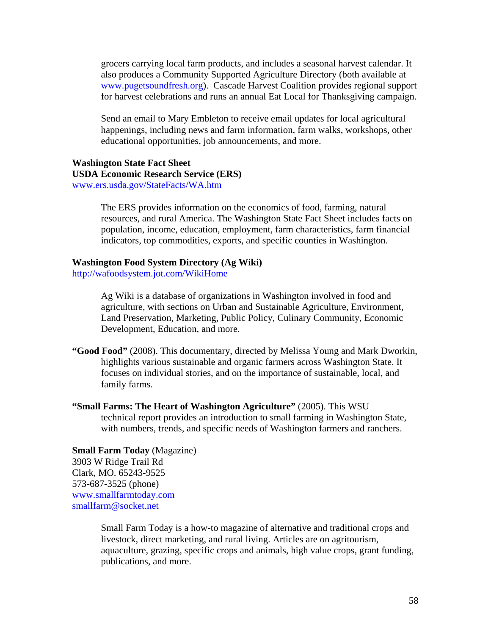grocers carrying local farm products, and includes a seasonal harvest calendar. It also produces a Community Supported Agriculture Directory (both available at [www.pugetsoundfresh.org](http://www.pugetsoundfresh.org/)). Cascade Harvest Coalition provides regional support for harvest celebrations and runs an annual Eat Local for Thanksgiving campaign.

Send an email to Mary Embleton to receive email updates for local agricultural happenings, including news and farm information, farm walks, workshops, other educational opportunities, job announcements, and more.

## **Washington State Fact Sheet USDA Economic Research Service (ERS)**  [www.ers.usda.gov/StateFacts/WA.htm](http://www.ers.usda.gov/StateFacts/WA.htm)

The ERS provides information on the economics of food, farming, natural resources, and rural America. The Washington State Fact Sheet includes facts on population, income, education, employment, farm characteristics, farm financial indicators, top commodities, exports, and specific counties in Washington.

#### **Washington Food System Directory (Ag Wiki)**

<http://wafoodsystem.jot.com/WikiHome>

Ag Wiki is a database of organizations in Washington involved in food and agriculture, with sections on Urban and Sustainable Agriculture, Environment, Land Preservation, Marketing, Public Policy, Culinary Community, Economic Development, Education, and more.

- **"Good Food"** (2008). This documentary, directed by Melissa Young and Mark Dworkin, highlights various sustainable and organic farmers across Washington State. It focuses on individual stories, and on the importance of sustainable, local, and family farms.
- **"Small Farms: The Heart of Washington Agriculture"** (2005). This WSU technical report provides an introduction to small farming in Washington State, with numbers, trends, and specific needs of Washington farmers and ranchers.

**Small Farm Today** (Magazine) 3903 W Ridge Trail Rd Clark, MO. 65243-9525 573-687-3525 (phone) [www.smallfarmtoday.com](http://www.smallfarmtoday.com/)  [smallfarm@socket.net](mailto:smallfarm@socket.net) 

> Small Farm Today is a how-to magazine of alternative and traditional crops and livestock, direct marketing, and rural living. Articles are on agritourism, aquaculture, grazing, specific crops and animals, high value crops, grant funding, publications, and more.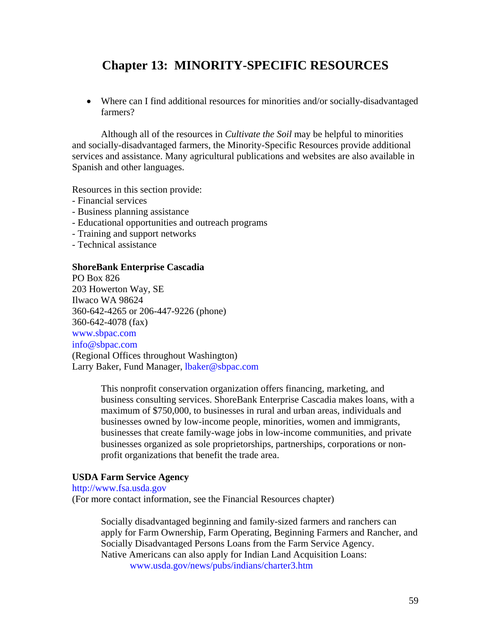# **Chapter 13: MINORITY-SPECIFIC RESOURCES**

• Where can I find additional resources for minorities and/or socially-disadvantaged farmers?

Although all of the resources in *Cultivate the Soil* may be helpful to minorities and socially-disadvantaged farmers, the Minority-Specific Resources provide additional services and assistance. Many agricultural publications and websites are also available in Spanish and other languages.

Resources in this section provide:

- Financial services
- Business planning assistance
- Educational opportunities and outreach programs
- Training and support networks
- Technical assistance

## **ShoreBank Enterprise Cascadia**

PO Box 826 203 Howerton Way, SE Ilwaco WA 98624 360-642-4265 or 206-447-9226 (phone) 360-642-4078 (fax) [www.sbpac.com](http://www.sbpac.com/)  [info@sbpac.com](mailto:info@sbpac.com)  (Regional Offices throughout Washington) Larry Baker, Fund Manager, [lbaker@sbpac.com](mailto:lbaker@sbpac.com)

> This nonprofit conservation organization offers financing, marketing, and business consulting services. ShoreBank Enterprise Cascadia makes loans, with a maximum of \$750,000, to businesses in rural and urban areas, individuals and businesses owned by low-income people, minorities, women and immigrants, businesses that create family-wage jobs in low-income communities, and private businesses organized as sole proprietorships, partnerships, corporations or nonprofit organizations that benefit the trade area.

## **USDA Farm Service Agency**

[http://www.fsa.usda.gov](http://www.fsa.usda.gov/)  (For more contact information, see the Financial Resources chapter)

> Socially disadvantaged beginning and family-sized farmers and ranchers can apply for Farm Ownership, Farm Operating, Beginning Farmers and Rancher, and Socially Disadvantaged Persons Loans from the Farm Service Agency. Native Americans can also apply for Indian Land Acquisition Loans: [www.usda.gov/news/pubs/indians/charter3.htm](http://www.usda.gov/news/pubs/indians/charter3.htm)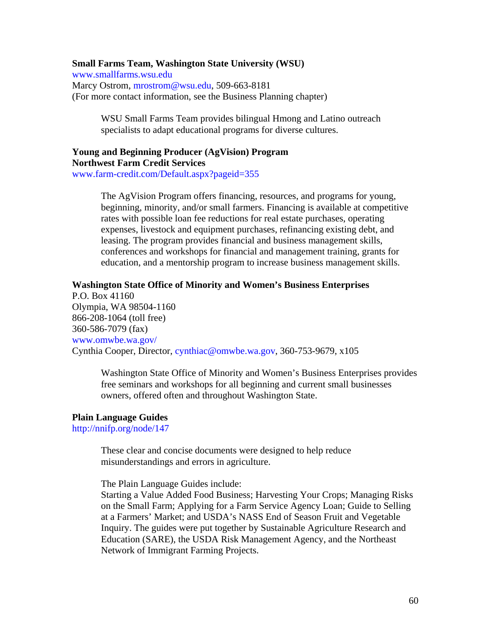## **Small Farms Team, Washington State University (WSU)**

[www.smallfarms.wsu.edu](http://www.smallfarms.wsu.edu/)  Marcy Ostrom, [mrostrom@wsu.edu,](mailto:mrostrom@wsu.edu) 509-663-8181 (For more contact information, see the Business Planning chapter)

> WSU Small Farms Team provides bilingual Hmong and Latino outreach specialists to adapt educational programs for diverse cultures.

## **Young and Beginning Producer (AgVision) Program Northwest Farm Credit Services**

[www.farm-credit.com/Default.aspx?pageid=355](http://www.farm-credit.com/Default.aspx?pageid=355)

The AgVision Program offers financing, resources, and programs for young, beginning, minority, and/or small farmers. Financing is available at competitive rates with possible loan fee reductions for real estate purchases, operating expenses, livestock and equipment purchases, refinancing existing debt, and leasing. The program provides financial and business management skills, conferences and workshops for financial and management training, grants for education, and a mentorship program to increase business management skills.

#### **Washington State Office of Minority and Women's Business Enterprises**

P.O. Box 41160 Olympia, WA 98504-1160 866-208-1064 (toll free) 360-586-7079 (fax) [www.omwbe.wa.gov/](http://www.omwbe.wa.gov/)  Cynthia Cooper, Director, [cynthiac@omwbe.wa.gov](mailto:cynthiac@omwbe.wa.gov), 360-753-9679, x105

> Washington State Office of Minority and Women's Business Enterprises provides free seminars and workshops for all beginning and current small businesses owners, offered often and throughout Washington State.

#### **Plain Language Guides**

<http://nnifp.org/node/147>

These clear and concise documents were designed to help reduce misunderstandings and errors in agriculture.

The Plain Language Guides include:

Starting a Value Added Food Business; Harvesting Your Crops; Managing Risks on the Small Farm; Applying for a Farm Service Agency Loan; Guide to Selling at a Farmers' Market; and USDA's NASS End of Season Fruit and Vegetable Inquiry. The guides were put together by Sustainable Agriculture Research and Education (SARE), the USDA Risk Management Agency, and the Northeast Network of Immigrant Farming Projects.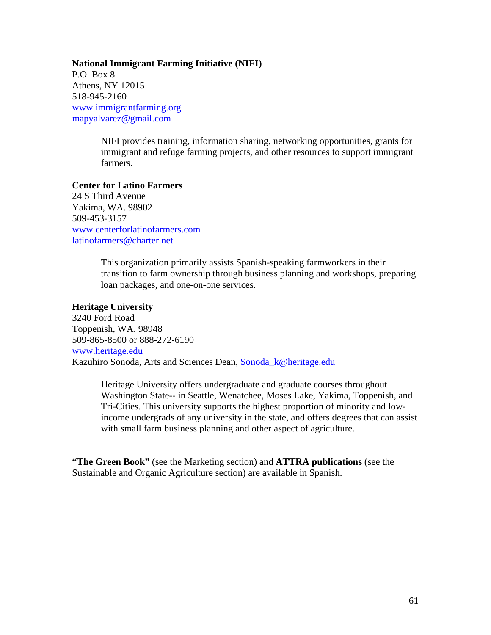**National Immigrant Farming Initiative (NIFI)** P.O. Box 8 Athens, NY 12015 518-945-2160 [www.immigrantfarming.org](http://www.immigrantfarming.org/) [mapyalvarez@gmail.com](mailto:mapyalvarez@gmail.com?subject=NIFI%20website%20visitor%20seeking%20more%20information)

> NIFI provides training, information sharing, networking opportunities, grants for immigrant and refuge farming projects, and other resources to support immigrant farmers.

**Center for Latino Farmers**  24 S Third Avenue

Yakima, WA. 98902 509-453-3157 [www.centerforlatinofarmers.com](http://www.centerforlatinofarmers.com/)  [latinofarmers@charter.net](mailto:latinofarmers@charter.net) 

> This organization primarily assists Spanish-speaking farmworkers in their transition to farm ownership through business planning and workshops, preparing loan packages, and one-on-one services.

## **Heritage University**

3240 Ford Road Toppenish, WA. 98948 509-865-8500 or 888-272-6190 [www.heritage.edu](http://www.heritage.edu/) Kazuhiro Sonoda, Arts and Sciences Dean, [Sonoda\\_k@heritage.edu](mailto:Sonoda_k@heritage.edu) 

> Heritage University offers undergraduate and graduate courses throughout Washington State-- in Seattle, Wenatchee, Moses Lake, Yakima, Toppenish, and Tri-Cities. This university supports the highest proportion of minority and lowincome undergrads of any university in the state, and offers degrees that can assist with small farm business planning and other aspect of agriculture.

**"The Green Book"** (see the Marketing section) and **ATTRA publications** (see the Sustainable and Organic Agriculture section) are available in Spanish.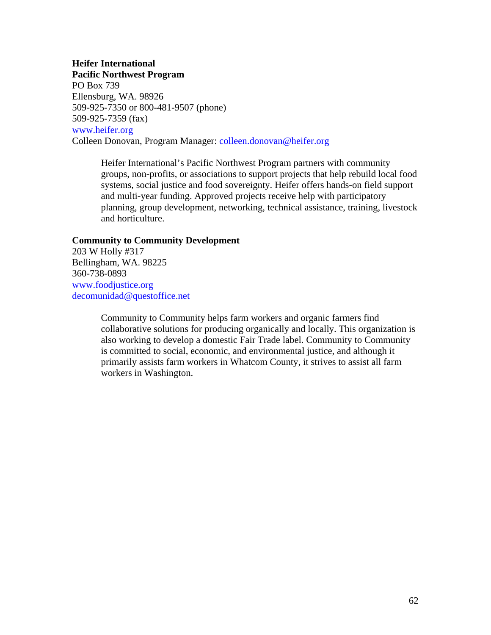## **Heifer International**

**Pacific Northwest Program** PO Box 739 Ellensburg, WA. 98926 509-925-7350 or 800-481-9507 (phone) 509-925-7359 (fax) [www.heifer.org](http://www.heifer.org/) Colleen Donovan, Program Manager: [colleen.donovan@heifer.org](mailto:colleen.donovan@heifer.org) 

> Heifer International's Pacific Northwest Program partners with community groups, non-profits, or associations to support projects that help rebuild local food systems, social justice and food sovereignty. Heifer offers hands-on field support and multi-year funding. Approved projects receive help with participatory planning, group development, networking, technical assistance, training, livestock and horticulture.

## **Community to Community Development**

203 W Holly #317 Bellingham, WA. 98225 360-738-0893 [www.foodjustice.org](http://www.foodjustice.org/)  [decomunidad@questoffice.net](mailto:decomunidad@questoffice.net)

> Community to Community helps farm workers and organic farmers find collaborative solutions for producing organically and locally. This organization is also working to develop a domestic Fair Trade label. Community to Community is committed to social, economic, and environmental justice, and although it primarily assists farm workers in Whatcom County, it strives to assist all farm workers in Washington.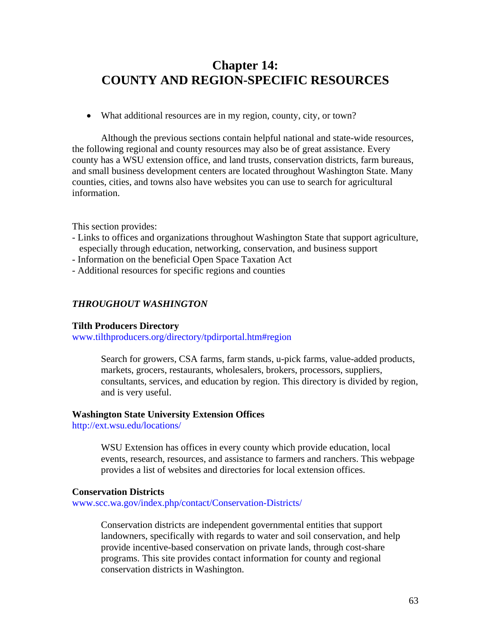## **Chapter 14: COUNTY AND REGION-SPECIFIC RESOURCES**

• What additional resources are in my region, county, city, or town?

Although the previous sections contain helpful national and state-wide resources, the following regional and county resources may also be of great assistance. Every county has a WSU extension office, and land trusts, conservation districts, farm bureaus, and small business development centers are located throughout Washington State. Many counties, cities, and towns also have websites you can use to search for agricultural information.

This section provides:

- Links to offices and organizations throughout Washington State that support agriculture, especially through education, networking, conservation, and business support
- Information on the beneficial Open Space Taxation Act
- Additional resources for specific regions and counties

## *THROUGHOUT WASHINGTON*

#### **Tilth Producers Directory**

[www.tilthproducers.org/directory/tpdirportal.htm#region](http://www.tilthproducers.org/directory/tpdirportal.htm#region) 

Search for growers, CSA farms, farm stands, u-pick farms, value-added products, markets, grocers, restaurants, wholesalers, brokers, processors, suppliers, consultants, services, and education by region. This directory is divided by region, and is very useful.

#### **Washington State University Extension Offices**

<http://ext.wsu.edu/locations/>

WSU Extension has offices in every county which provide education, local events, research, resources, and assistance to farmers and ranchers. This webpage provides a list of websites and directories for local extension offices.

#### **Conservation Districts**

[www.scc.wa.gov/index.php/contact/Conservation-Districts/](http://www.scc.wa.gov/index.php/contact/Conservation-Districts/) 

Conservation districts are independent governmental entities that support landowners, specifically with regards to water and soil conservation, and help provide incentive-based conservation on private lands, through cost-share programs. This site provides contact information for county and regional conservation districts in Washington.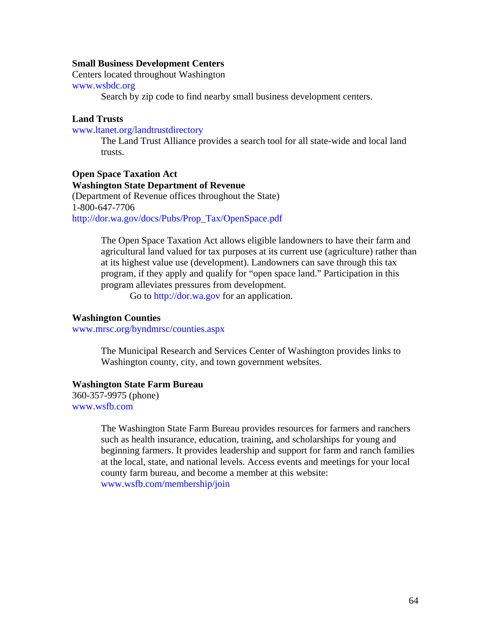#### **Small Business Development Centers**

Centers located throughout Washington

#### [www.wsbdc.org](http://www.wsbdc.org/)

Search by zip code to find nearby small business development centers.

## **Land Trusts**

[www.ltanet.org/landtrustdirectory](http://www.ltanet.org/landtrustdirectory)

The Land Trust Alliance provides a search tool for all state-wide and local land trusts.

## **Open Space Taxation Act Washington State Department of Revenue**

(Department of Revenue offices throughout the State) 1-800-647-7706 [http://dor.wa.gov/docs/Pubs/Prop\\_Tax/OpenSpace.pdf](http://dor.wa.gov/docs/Pubs/Prop_Tax/OpenSpace.pdf)

> The Open Space Taxation Act allows eligible landowners to have their farm and agricultural land valued for tax purposes at its current use (agriculture) rather than at its highest value use (development). Landowners can save through this tax program, if they apply and qualify for "open space land." Participation in this program alleviates pressures from development.

Go to [http://dor.wa.gov](http://dor.wa.gov/) for an application.

#### **Washington Counties**

[www.mrsc.org/byndmrsc/counties.aspx](http://www.mrsc.org/byndmrsc/counties.aspx) 

The Municipal Research and Services Center of Washington provides links to Washington county, city, and town government websites.

#### **Washington State Farm Bureau**

360-357-9975 (phone) [www.wsfb.com](http://www.wsfb.com/) 

> The Washington State Farm Bureau provides resources for farmers and ranchers such as health insurance, education, training, and scholarships for young and beginning farmers. It provides leadership and support for farm and ranch families at the local, state, and national levels. Access events and meetings for your local county farm bureau, and become a member at this website: [www.wsfb.com/membership/join](http://www.wsfb.com/membership/join)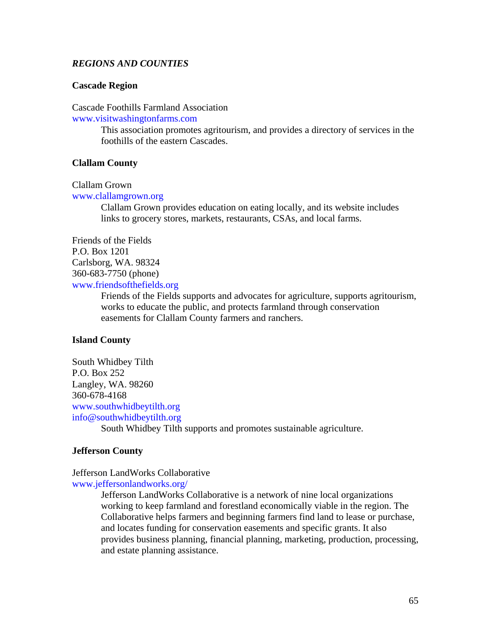## *REGIONS AND COUNTIES*

## **Cascade Region**

Cascade Foothills Farmland Association

[www.visitwashingtonfarms.com](http://www.visitwashingtonfarms.com/) 

This association promotes agritourism, and provides a directory of services in the foothills of the eastern Cascades.

## **Clallam County**

## Clallam Grown

[www.clallamgrown.org](http://www.clallamgrown.org/) 

Clallam Grown provides education on eating locally, and its website includes links to grocery stores, markets, restaurants, CSAs, and local farms.

Friends of the Fields P.O. Box 1201 Carlsborg, WA. 98324 360-683-7750 (phone) [www.friendsofthefields.org](http://www.friendsofthefields.org/) 

> Friends of the Fields supports and advocates for agriculture, supports agritourism, works to educate the public, and protects farmland through conservation easements for Clallam County farmers and ranchers.

#### **Island County**

South Whidbey Tilth P.O. Box 252 Langley, WA. 98260 360-678-4168 [www.southwhidbeytilth.org](http://www.southwhidbeytilth.org/)  [info@southwhidbeytilth.org](mailto:info@southwhidbeytilth.org) 

South Whidbey Tilth supports and promotes sustainable agriculture.

## **Jefferson County**

Jefferson LandWorks Collaborative [www.jeffersonlandworks.org/](http://www.jeffersonlandworks.org/)

> Jefferson LandWorks Collaborative is a network of nine local organizations working to keep farmland and forestland economically viable in the region. The Collaborative helps farmers and beginning farmers find land to lease or purchase, and locates funding for conservation easements and specific grants. It also provides business planning, financial planning, marketing, production, processing, and estate planning assistance.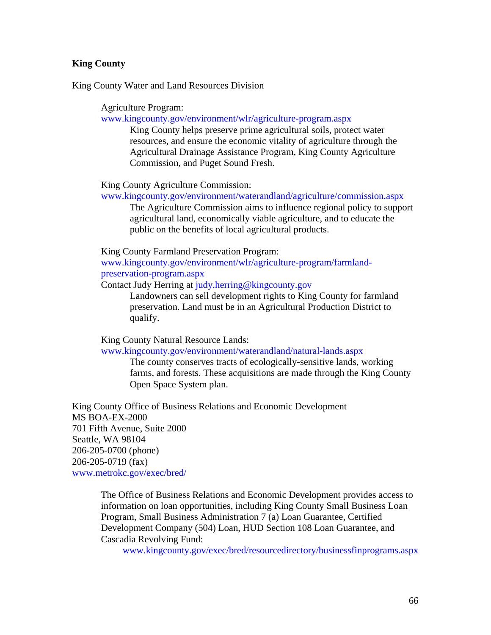## **King County**

King County Water and Land Resources Division

Agriculture Program:

[www.kingcounty.gov/environment/wlr/agriculture-program.aspx](http://www.kingcounty.gov/environment/wlr/agriculture-program.aspx)

King County helps preserve prime agricultural soils, protect water resources, and ensure the economic vitality of agriculture through the Agricultural Drainage Assistance Program, King County Agriculture Commission, and Puget Sound Fresh.

King County Agriculture Commission:

[www.kingcounty.gov/environment/waterandland/agriculture/commission.aspx](http://www.kingcounty.gov/environment/waterandland/agriculture/commission.aspx)

The Agriculture Commission aims to influence regional policy to support agricultural land, economically viable agriculture, and to educate the public on the benefits of local agricultural products.

King County Farmland Preservation Program:

[www.kingcounty.gov/environment/wlr/agriculture-program/farmland](http://www.kingcounty.gov/environment/wlr/agriculture-program/farmland-preservation-program.aspx)[preservation-program.aspx](http://www.kingcounty.gov/environment/wlr/agriculture-program/farmland-preservation-program.aspx) 

Contact Judy Herring at [judy.herring@kingcounty.gov](mailto:judy.herring@kingcounty.gov) 

Landowners can sell development rights to King County for farmland preservation. Land must be in an Agricultural Production District to qualify.

King County Natural Resource Lands:

[www.kingcounty.gov/environment/waterandland/natural-lands.aspx](http://www.kingcounty.gov/environment/waterandland/natural-lands.aspx) 

The county conserves tracts of ecologically-sensitive lands, working farms, and forests. These acquisitions are made through the King County Open Space System plan.

King County Office of Business Relations and Economic Development MS BOA-EX-2000 701 Fifth Avenue, Suite 2000 Seattle, WA 98104 206-205-0700 (phone) 206-205-0719 (fax) [www.metrokc.gov/exec/bred/](http://www.metrokc.gov/exec/bred/) 

> The Office of Business Relations and Economic Development provides access to information on loan opportunities, including King County Small Business Loan Program, Small Business Administration 7 (a) Loan Guarantee, Certified Development Company (504) Loan, HUD Section 108 Loan Guarantee, and Cascadia Revolving Fund:

[www.kingcounty.gov/exec/bred/resourcedirectory/businessfinprograms.aspx](http://www.kingcounty.gov/exec/bred/resourcedirectory/businessfinprograms.aspx)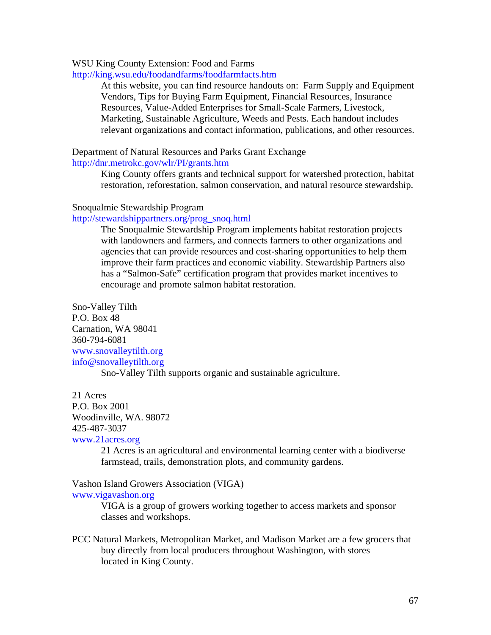## WSU King County Extension: Food and Farms

<http://king.wsu.edu/foodandfarms/foodfarmfacts.htm>

At this website, you can find resource handouts on: Farm Supply and Equipment Vendors, Tips for Buying Farm Equipment, Financial Resources, Insurance Resources, Value-Added Enterprises for Small-Scale Farmers, Livestock, Marketing, Sustainable Agriculture, Weeds and Pests. Each handout includes relevant organizations and contact information, publications, and other resources.

## Department of Natural Resources and Parks Grant Exchange <http://dnr.metrokc.gov/wlr/PI/grants.htm>

King County offers grants and technical support for watershed protection, habitat restoration, reforestation, salmon conservation, and natural resource stewardship.

#### Snoqualmie Stewardship Program

### [http://stewardshippartners.org/prog\\_snoq.html](http://stewardshippartners.org/prog_snoq.html)

The Snoqualmie Stewardship Program implements habitat restoration projects with landowners and farmers, and connects farmers to other organizations and agencies that can provide resources and cost-sharing opportunities to help them improve their farm practices and economic viability. Stewardship Partners also has a "Salmon-Safe" certification program that provides market incentives to encourage and promote salmon habitat restoration.

Sno-Valley Tilth P.O. Box 48 Carnation, WA 98041 360-794-6081 [www.snovalleytilth.org](http://www.snovalleytilth.org/)  [info@snovalleytilth.org](mailto:info@snovalleytilth.org) 

Sno-Valley Tilth supports organic and sustainable agriculture.

#### 21 Acres

P.O. Box 2001

Woodinville, WA. 98072

### 425-487-3037

[www.21acres.org](http://www.21acres.org/) 

21 Acres is an agricultural and environmental learning center with a biodiverse farmstead, trails, demonstration plots, and community gardens.

Vashon Island Growers Association (VIGA) [www.vigavashon.org](http://www.vigavashon.org/) 

VIGA is a group of growers working together to access markets and sponsor classes and workshops.

PCC Natural Markets, Metropolitan Market, and Madison Market are a few grocers that buy directly from local producers throughout Washington, with stores located in King County.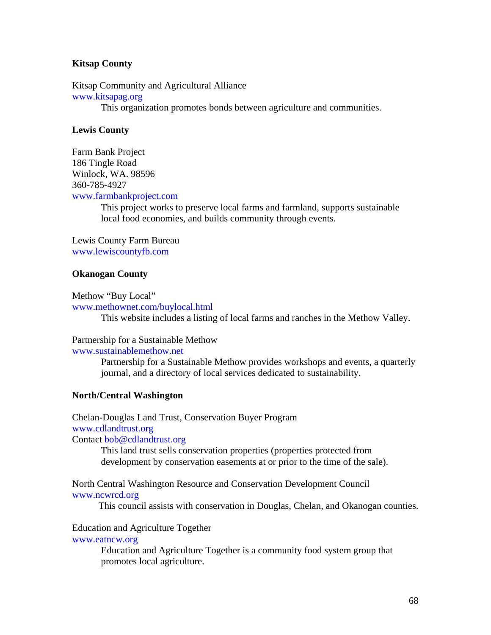## **Kitsap County**

Kitsap Community and Agricultural Alliance [www.kitsapag.org](http://www.kitsapag.org/)  This organization promotes bonds between agriculture and communities.

## **Lewis County**

Farm Bank Project 186 Tingle Road Winlock, WA. 98596 360-785-4927 [www.farmbankproject.com](http://www.farmbankproject.com/) 

> This project works to preserve local farms and farmland, supports sustainable local food economies, and builds community through events.

Lewis County Farm Bureau [www.lewiscountyfb.com](http://www.lewiscountyfb.com/)

### **Okanogan County**

Methow "Buy Local"

[www.methownet.com/buylocal.html](http://www.methownet.com/buylocal.html) 

This website includes a listing of local farms and ranches in the Methow Valley.

## Partnership for a Sustainable Methow

[www.sustainablemethow.net](http://www.sustainablemethow.net/) 

Partnership for a Sustainable Methow provides workshops and events, a quarterly journal, and a directory of local services dedicated to sustainability.

#### **North/Central Washington**

Chelan-Douglas Land Trust, Conservation Buyer Program [www.cdlandtrust.org](http://www.cdlandtrust.org/) Contact [bob@cdlandtrust.org](mailto:bob@cdlandtrust.org)

> This land trust sells conservation properties (properties protected from development by conservation easements at or prior to the time of the sale).

North Central Washington Resource and Conservation Development Council [www.ncwrcd.org](http://www.ncwrcd.org/)

This council assists with conservation in Douglas, Chelan, and Okanogan counties.

## Education and Agriculture Together

## [www.eatncw.org](http://www.eatncw.org/)

Education and Agriculture Together is a community food system group that promotes local agriculture.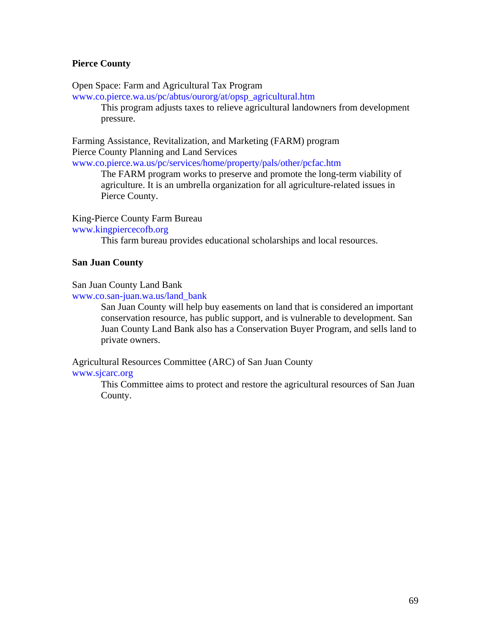## **Pierce County**

Open Space: Farm and Agricultural Tax Program

[www.co.pierce.wa.us/pc/abtus/ourorg/at/opsp\\_agricultural.htm](http://www.co.pierce.wa.us/pc/abtus/ourorg/at/opsp_agricultural.htm)

This program adjusts taxes to relieve agricultural landowners from development pressure.

Farming Assistance, Revitalization, and Marketing (FARM) program Pierce County Planning and Land Services

[www.co.pierce.wa.us/pc/services/home/property/pals/other/pcfac.htm](http://www.co.pierce.wa.us/pc/services/home/property/pals/other/pcfac.htm) 

 The FARM program works to preserve and promote the long-term viability of agriculture. It is an umbrella organization for all agriculture-related issues in Pierce County.

## King-Pierce County Farm Bureau

[www.kingpiercecofb.org](http://www.kingpiercecofb.org/) 

This farm bureau provides educational scholarships and local resources.

## **San Juan County**

## San Juan County Land Bank

[www.co.san-juan.wa.us/land\\_bank](http://www.co.san-juan.wa.us/land_bank)

San Juan County will help buy easements on land that is considered an important conservation resource, has public support, and is vulnerable to development. San Juan County Land Bank also has a Conservation Buyer Program, and sells land to private owners.

Agricultural Resources Committee (ARC) of San Juan County

## [www.sjcarc.org](http://www.sjcarc.org/)

This Committee aims to protect and restore the agricultural resources of San Juan County.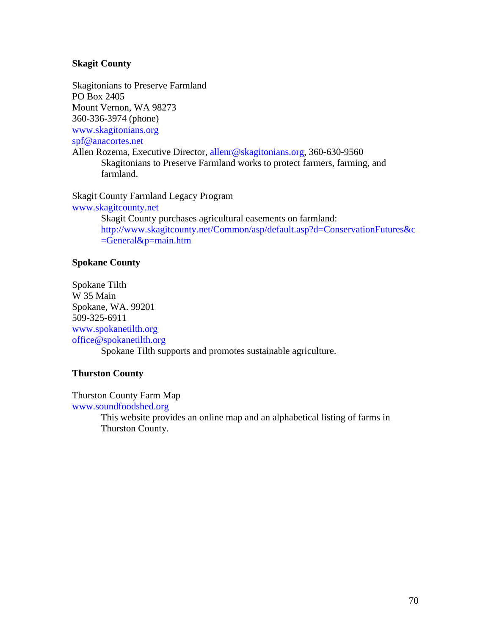## **Skagit County**

Skagitonians to Preserve Farmland PO Box 2405 Mount Vernon, WA 98273 360-336-3974 (phone) [www.skagitonians.org](http://www.skagitonians.org/) [spf@anacortes.net](mailto:spf@anacortes.net) Allen Rozema, Executive Director, [allenr@skagitonians.org](mailto:allenr@skagitonians.org), 360-630-9560 Skagitonians to Preserve Farmland works to protect farmers, farming, and farmland.

Skagit County Farmland Legacy Program [www.skagitcounty.net](http://www.skagitcounty.net/) Skagit County purchases agricultural easements on farmland: [http://www.skagitcounty.net/Common/asp/default.asp?d=ConservationFutures&c](http://www.skagitcounty.net/Common/asp/default.asp?d=ConservationFutures&c=General&p=main.htm)  $=$ General $&$ p=main.htm

## **Spokane County**

Spokane Tilth W 35 Main Spokane, WA. 99201 509-325-6911 [www.spokanetilth.org](http://www.spokanetilth.org/)  [office@spokanetilth.org](mailto:office@spokanetilth.org)  Spokane Tilth supports and promotes sustainable agriculture.

## **Thurston County**

Thurston County Farm Map [www.soundfoodshed.org](http://www.soundfoodshed.org/) 

> This website provides an online map and an alphabetical listing of farms in Thurston County.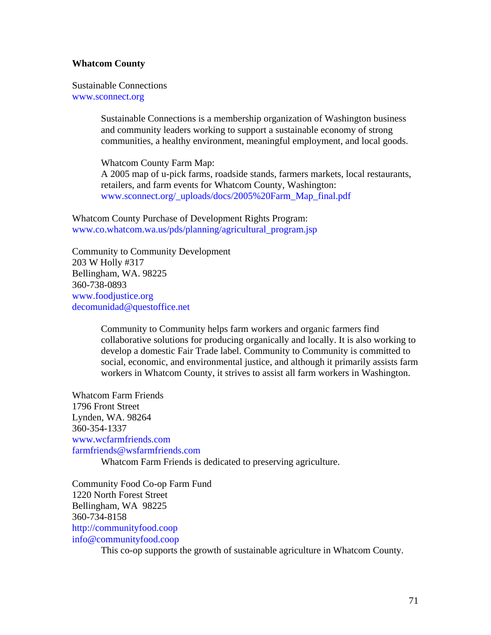## **Whatcom County**

Sustainable Connections [www.sconnect.org](http://www.sconnect.org/) 

> Sustainable Connections is a membership organization of Washington business and community leaders working to support a sustainable economy of strong communities, a healthy environment, meaningful employment, and local goods.

Whatcom County Farm Map: A 2005 map of u-pick farms, roadside stands, farmers markets, local restaurants, retailers, and farm events for Whatcom County, Washington: [www.sconnect.org/\\_uploads/docs/2005%20Farm\\_Map\\_final.pdf](http://www.sconnect.org/_uploads/docs/2005%20Farm_Map_final.pdf)

Whatcom County Purchase of Development Rights Program: [www.co.whatcom.wa.us/pds/planning/agricultural\\_program.jsp](http://www.co.whatcom.wa.us/pds/planning/agricultural_program.jsp)

Community to Community Development 203 W Holly #317 Bellingham, WA. 98225 360-738-0893 [www.foodjustice.org](http://www.foodjustice.org/)  [decomunidad@questoffice.net](mailto:decomunidad@questoffice.net)

> Community to Community helps farm workers and organic farmers find collaborative solutions for producing organically and locally. It is also working to develop a domestic Fair Trade label. Community to Community is committed to social, economic, and environmental justice, and although it primarily assists farm workers in Whatcom County, it strives to assist all farm workers in Washington.

Whatcom Farm Friends 1796 Front Street Lynden, WA. 98264 360-354-1337 [www.wcfarmfriends.com](http://www.wcfarmfriends.com/)  [farmfriends@wsfarmfriends.com](mailto:farmfriends@wsfarmfriends.com)  Whatcom Farm Friends is dedicated to preserving agriculture.

Community Food Co-op Farm Fund 1220 North Forest Street Bellingham, WA 98225 360-734-8158 [http://communityfood.coop](http://communityfood.coop/)  [info@communityfood.coop](mailto:jeanr@communityfood.coop)

This co-op supports the growth of sustainable agriculture in Whatcom County.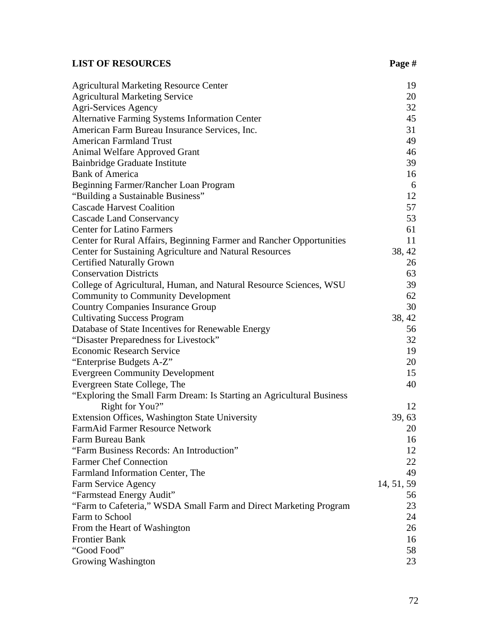## LIST OF RESOURCES Page #

| <b>Agricultural Marketing Resource Center</b>                         | 19         |
|-----------------------------------------------------------------------|------------|
| <b>Agricultural Marketing Service</b>                                 | 20         |
| Agri-Services Agency                                                  | 32         |
| Alternative Farming Systems Information Center                        | 45         |
| American Farm Bureau Insurance Services, Inc.                         | 31         |
| <b>American Farmland Trust</b>                                        | 49         |
| Animal Welfare Approved Grant                                         | 46         |
| Bainbridge Graduate Institute                                         | 39         |
| <b>Bank of America</b>                                                | 16         |
| Beginning Farmer/Rancher Loan Program                                 | 6          |
| "Building a Sustainable Business"                                     | 12         |
| <b>Cascade Harvest Coalition</b>                                      | 57         |
| <b>Cascade Land Conservancy</b>                                       | 53         |
| <b>Center for Latino Farmers</b>                                      | 61         |
| Center for Rural Affairs, Beginning Farmer and Rancher Opportunities  | 11         |
| Center for Sustaining Agriculture and Natural Resources               | 38, 42     |
| <b>Certified Naturally Grown</b>                                      | 26         |
| <b>Conservation Districts</b>                                         | 63         |
| College of Agricultural, Human, and Natural Resource Sciences, WSU    | 39         |
| <b>Community to Community Development</b>                             | 62         |
| <b>Country Companies Insurance Group</b>                              | 30         |
| <b>Cultivating Success Program</b>                                    | 38, 42     |
| Database of State Incentives for Renewable Energy                     | 56         |
| "Disaster Preparedness for Livestock"                                 | 32         |
| <b>Economic Research Service</b>                                      | 19         |
| "Enterprise Budgets A-Z"                                              | 20         |
| <b>Evergreen Community Development</b>                                | 15         |
| Evergreen State College, The                                          | 40         |
| "Exploring the Small Farm Dream: Is Starting an Agricultural Business |            |
| Right for You?"                                                       | 12         |
| Extension Offices, Washington State University                        | 39, 63     |
| FarmAid Farmer Resource Network                                       | 20         |
| Farm Bureau Bank                                                      | 16         |
| "Farm Business Records: An Introduction"                              | 12         |
| <b>Farmer Chef Connection</b>                                         | 22         |
| Farmland Information Center, The                                      | 49         |
| Farm Service Agency                                                   | 14, 51, 59 |
| "Farmstead Energy Audit"                                              | 56         |
| "Farm to Cafeteria," WSDA Small Farm and Direct Marketing Program     | 23         |
| Farm to School                                                        | 24         |
| From the Heart of Washington                                          | 26         |
| <b>Frontier Bank</b>                                                  | 16         |
| "Good Food"                                                           | 58         |
| Growing Washington                                                    | 23         |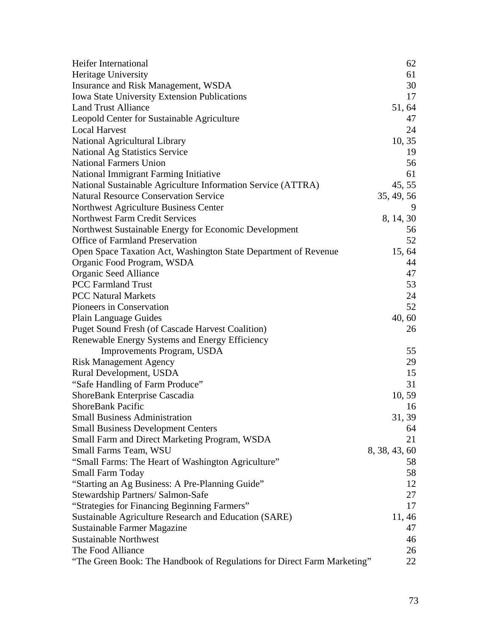| <b>Heifer International</b>                                             | 62            |
|-------------------------------------------------------------------------|---------------|
| Heritage University                                                     | 61            |
| Insurance and Risk Management, WSDA                                     | 30            |
| Iowa State University Extension Publications                            | 17            |
| <b>Land Trust Alliance</b>                                              | 51, 64        |
| Leopold Center for Sustainable Agriculture                              | 47            |
| <b>Local Harvest</b>                                                    | 24            |
| National Agricultural Library                                           | 10, 35        |
| <b>National Ag Statistics Service</b>                                   | 19            |
| <b>National Farmers Union</b>                                           | 56            |
| National Immigrant Farming Initiative                                   | 61            |
| National Sustainable Agriculture Information Service (ATTRA)            | 45, 55        |
| <b>Natural Resource Conservation Service</b>                            | 35, 49, 56    |
| Northwest Agriculture Business Center                                   | 9             |
| <b>Northwest Farm Credit Services</b>                                   | 8, 14, 30     |
| Northwest Sustainable Energy for Economic Development                   | 56            |
| <b>Office of Farmland Preservation</b>                                  | 52            |
| Open Space Taxation Act, Washington State Department of Revenue         | 15, 64        |
| Organic Food Program, WSDA                                              | 44            |
| Organic Seed Alliance                                                   | 47            |
| <b>PCC Farmland Trust</b>                                               | 53            |
| <b>PCC Natural Markets</b>                                              | 24            |
| Pioneers in Conservation                                                | 52            |
| <b>Plain Language Guides</b>                                            | 40, 60        |
| <b>Puget Sound Fresh (of Cascade Harvest Coalition)</b>                 | 26            |
| Renewable Energy Systems and Energy Efficiency                          |               |
| Improvements Program, USDA                                              | 55            |
| <b>Risk Management Agency</b>                                           | 29            |
| Rural Development, USDA                                                 | 15            |
| "Safe Handling of Farm Produce"                                         | 31            |
| ShoreBank Enterprise Cascadia                                           | 10, 59        |
| <b>ShoreBank Pacific</b>                                                | 16            |
| <b>Small Business Administration</b>                                    | 31, 39        |
| <b>Small Business Development Centers</b>                               | 64            |
| Small Farm and Direct Marketing Program, WSDA                           | 21            |
| Small Farms Team, WSU                                                   | 8, 38, 43, 60 |
| "Small Farms: The Heart of Washington Agriculture"                      | 58            |
| <b>Small Farm Today</b>                                                 | 58            |
| "Starting an Ag Business: A Pre-Planning Guide"                         | 12            |
| Stewardship Partners/ Salmon-Safe                                       | 27            |
| "Strategies for Financing Beginning Farmers"                            | 17            |
| Sustainable Agriculture Research and Education (SARE)                   | 11, 46        |
| Sustainable Farmer Magazine                                             | 47            |
| <b>Sustainable Northwest</b>                                            | 46            |
| The Food Alliance                                                       | 26            |
| "The Green Book: The Handbook of Regulations for Direct Farm Marketing" | 22            |